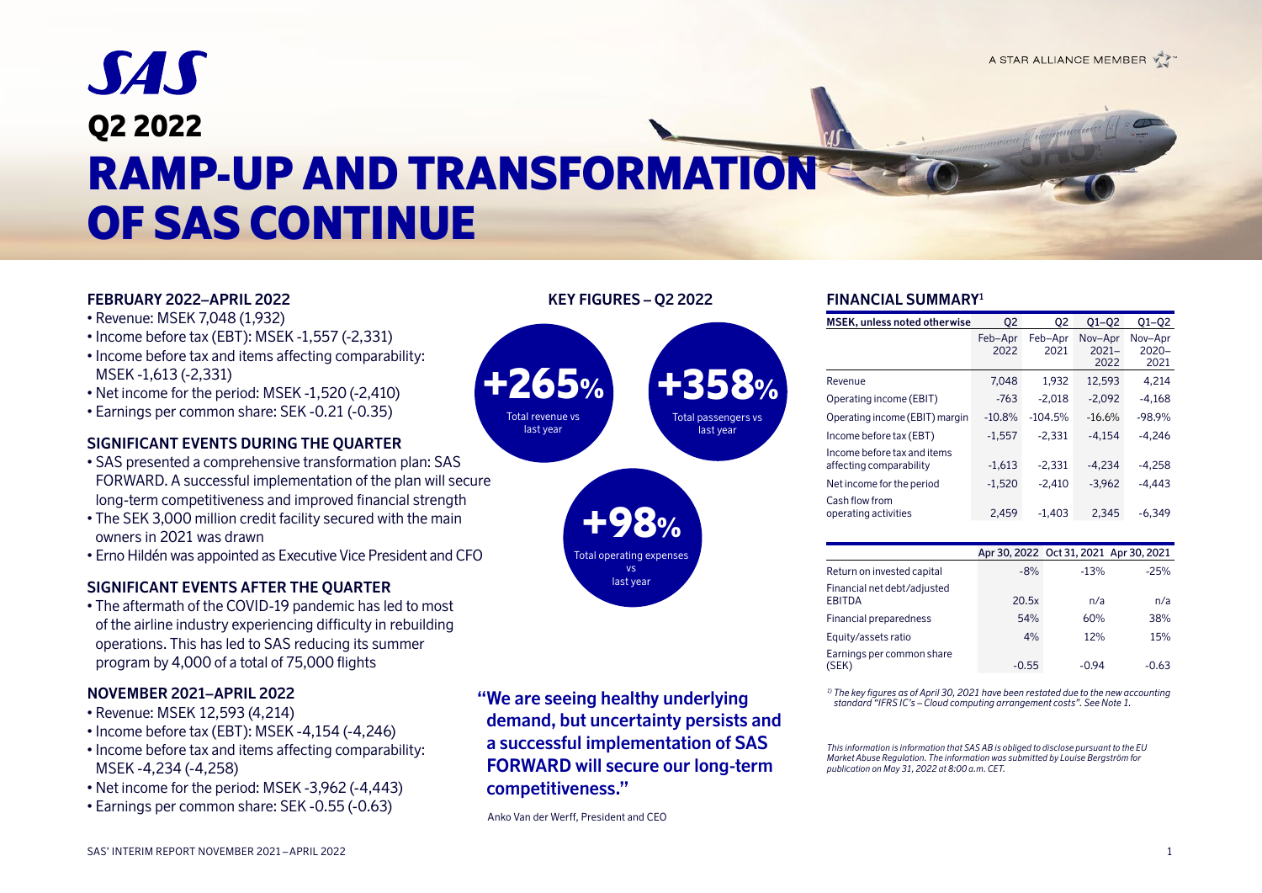# **SAS** Q2 2022 RAMP-UP AND TRANSFORMATION OF SAS CONTINUE

+265% Total revenue vs last year

# **FEBRUARY 2022–APRIL 2022**

- Revenue: MSEK 7,048 (1,932)
- Income before tax (EBT): MSEK -1,557 (-2,331)
- Income before tax and items affecting comparability: MSEK -1,613 (-2,331)
- Net income for the period: MSEK -1,520 (-2,410)
- Earnings per common share: SEK -0.21 (-0.35)

# **SIGNIFICANT EVENTS DURING THE QUARTER**

- SAS presented a comprehensive transformation plan: SAS FORWARD. A successful implementation of the plan will secure long-term competitiveness and improved financial strength
- The SEK 3,000 million credit facility secured with the main owners in 2021 was drawn
- Erno Hildén was appointed as Executive Vice President and CFO

# **SIGNIFICANT EVENTS AFTER THE QUARTER**

• The aftermath of the COVID-19 pandemic has led to most of the airline industry experiencing difficulty in rebuilding operations. This has led to SAS reducing its summer program by 4,000 of a total of 75,000 flights

### **NOVEMBER 2021–APRIL 2022**

- Revenue: MSEK 12,593 (4,214)
- Income before tax (EBT): MSEK -4,154 (-4,246)
- Income before tax and items affecting comparability: MSEK -4,234 (-4,258)
- Net income for the period: MSEK -3,962 (-4,443)
- Earnings per common share: SEK -0.55 (-0.63)



+98% Total operating expense vs last year

Anko Van der Werff, President and CEO

### **FINANCIAL SUMMARY1**

| <b>MSEK, unless noted otherwise</b>                    | 02              | 02              | $Q1 - Q2$                   | $Q1 - Q2$                   |
|--------------------------------------------------------|-----------------|-----------------|-----------------------------|-----------------------------|
|                                                        | Feb-Apr<br>2022 | Feb-Apr<br>2021 | Nov-Apr<br>$2021 -$<br>2022 | Nov-Apr<br>$2020 -$<br>2021 |
| Revenue                                                | 7.048           | 1.932           | 12.593                      | 4.214                       |
| Operating income (EBIT)                                | $-763$          | $-2,018$        | $-2.092$                    | $-4.168$                    |
| Operating income (EBIT) margin                         | $-10.8%$        | $-104.5%$       | $-16.6%$                    | $-98.9%$                    |
| Income before tax (EBT)                                | $-1,557$        | $-2.331$        | $-4.154$                    | $-4.246$                    |
| Income before tax and items<br>affecting comparability | $-1,613$        | $-2.331$        | $-4.234$                    | $-4.258$                    |
| Net income for the period                              | $-1,520$        | $-2,410$        | $-3.962$                    | $-4.443$                    |
| Cash flow from<br>operating activities                 | 2,459           | $-1,403$        | 2.345                       | $-6.349$                    |

|                                              | Apr 30, 2022 Oct 31, 2021 Apr 30, 2021 |        |        |
|----------------------------------------------|----------------------------------------|--------|--------|
| Return on invested capital                   | $-8%$                                  | $-13%$ | $-25%$ |
| Financial net debt/adjusted<br><b>EBITDA</b> | 20.5x                                  | n/a    | n/a    |
| Financial preparedness                       | 54%                                    | 60%    | 38%    |
| Equity/assets ratio                          | 4%                                     | 12%    | 15%    |
| Earnings per common share<br>(SEK)           | $-0.55$                                | -0.94  | -0.63  |

*1) The key figures as of April 30, 2021 have been restated due to the new accounting standard "IFRS IC's – Cloud computing arrangement costs". See Note 1.* 

*This information is information that SAS AB is obliged to disclose pursuant to the EU Market Abuse Regulation. The information was submitted by Louise Bergström for publication on May 31, 2022 at 8:00 a.m. CET.*

**KEY FIGURES – Q2 2022** 

+358% Total passengers vs last year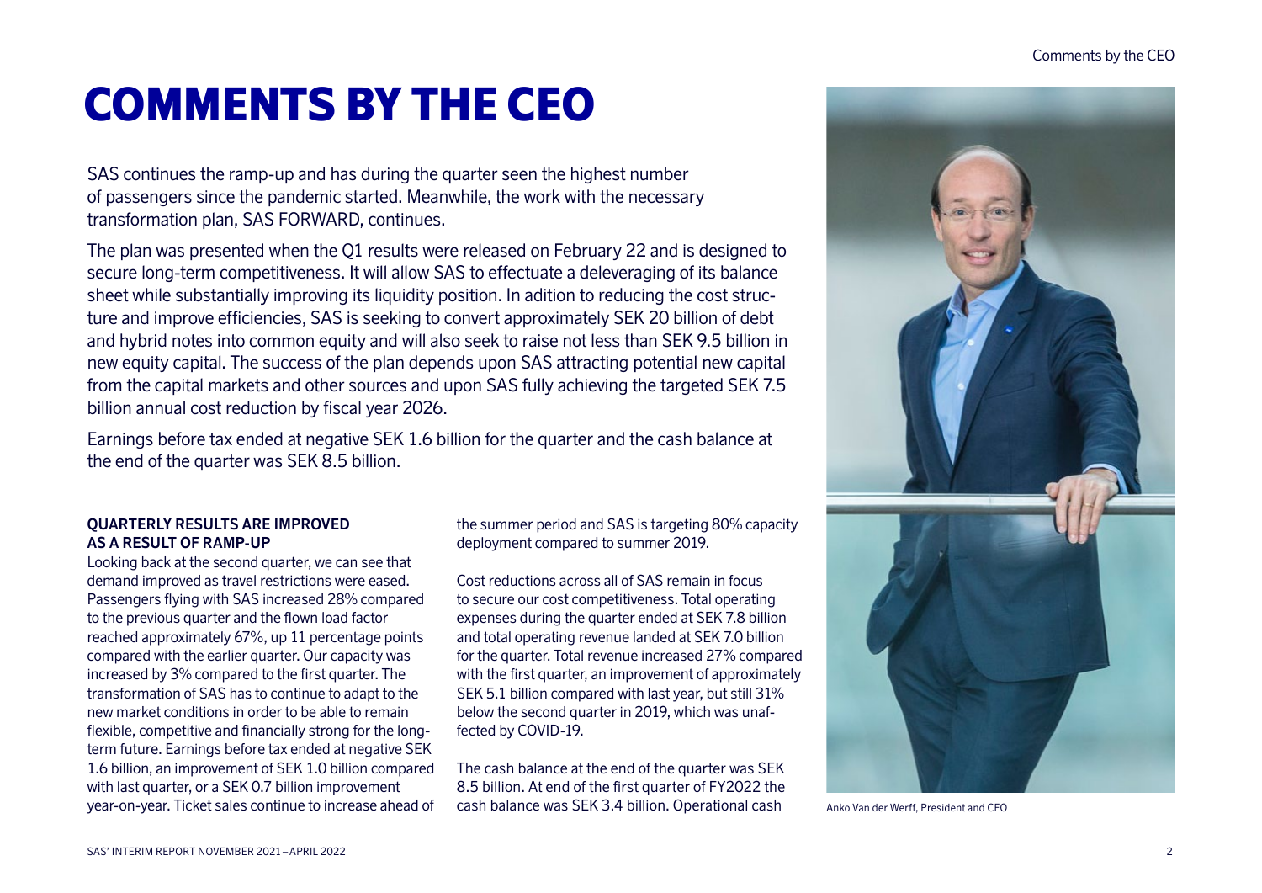# COMMENTS BY THE CEO

SAS continues the ramp-up and has during the quarter seen the highest number of passengers since the pandemic started. Meanwhile, the work with the necessary transformation plan, SAS FORWARD, continues.

The plan was presented when the Q1 results were released on February 22 and is designed to secure long-term competitiveness. It will allow SAS to effectuate a deleveraging of its balance sheet while substantially improving its liquidity position. In adition to reducing the cost structure and improve efficiencies, SAS is seeking to convert approximately SEK 20 billion of debt and hybrid notes into common equity and will also seek to raise not less than SEK 9.5 billion in new equity capital. The success of the plan depends upon SAS attracting potential new capital from the capital markets and other sources and upon SAS fully achieving the targeted SEK 7.5 billion annual cost reduction by fiscal year 2026.

Earnings before tax ended at negative SEK 1.6 billion for the quarter and the cash balance at the end of the quarter was SEK 8.5 billion.

### **QUARTERLY RESULTS ARE IMPROVED AS A RESULT OF RAMP-UP**

Looking back at the second quarter, we can see that demand improved as travel restrictions were eased. Passengers flying with SAS increased 28% compared to the previous quarter and the flown load factor reached approximately 67%, up 11 percentage points compared with the earlier quarter. Our capacity was increased by 3% compared to the first quarter. The transformation of SAS has to continue to adapt to the new market conditions in order to be able to remain flexible, competitive and financially strong for the longterm future. Earnings before tax ended at negative SEK 1.6 billion, an improvement of SEK 1.0 billion compared with last quarter, or a SEK 0.7 billion improvement year-on-year. Ticket sales continue to increase ahead of the summer period and SAS is targeting 80% capacity deployment compared to summer 2019.

Cost reductions across all of SAS remain in focus to secure our cost competitiveness. Total operating expenses during the quarter ended at SEK 7.8 billion and total operating revenue landed at SEK 7.0 billion for the quarter. Total revenue increased 27% compared with the first quarter, an improvement of approximately SEK 5.1 billion compared with last year, but still 31% below the second quarter in 2019, which was unaffected by COVID-19.

The cash balance at the end of the quarter was SEK 8.5 billion. At end of the first quarter of FY2022 the cash balance was SEK 3.4 billion. Operational cash



Anko Van der Werff, President and CEO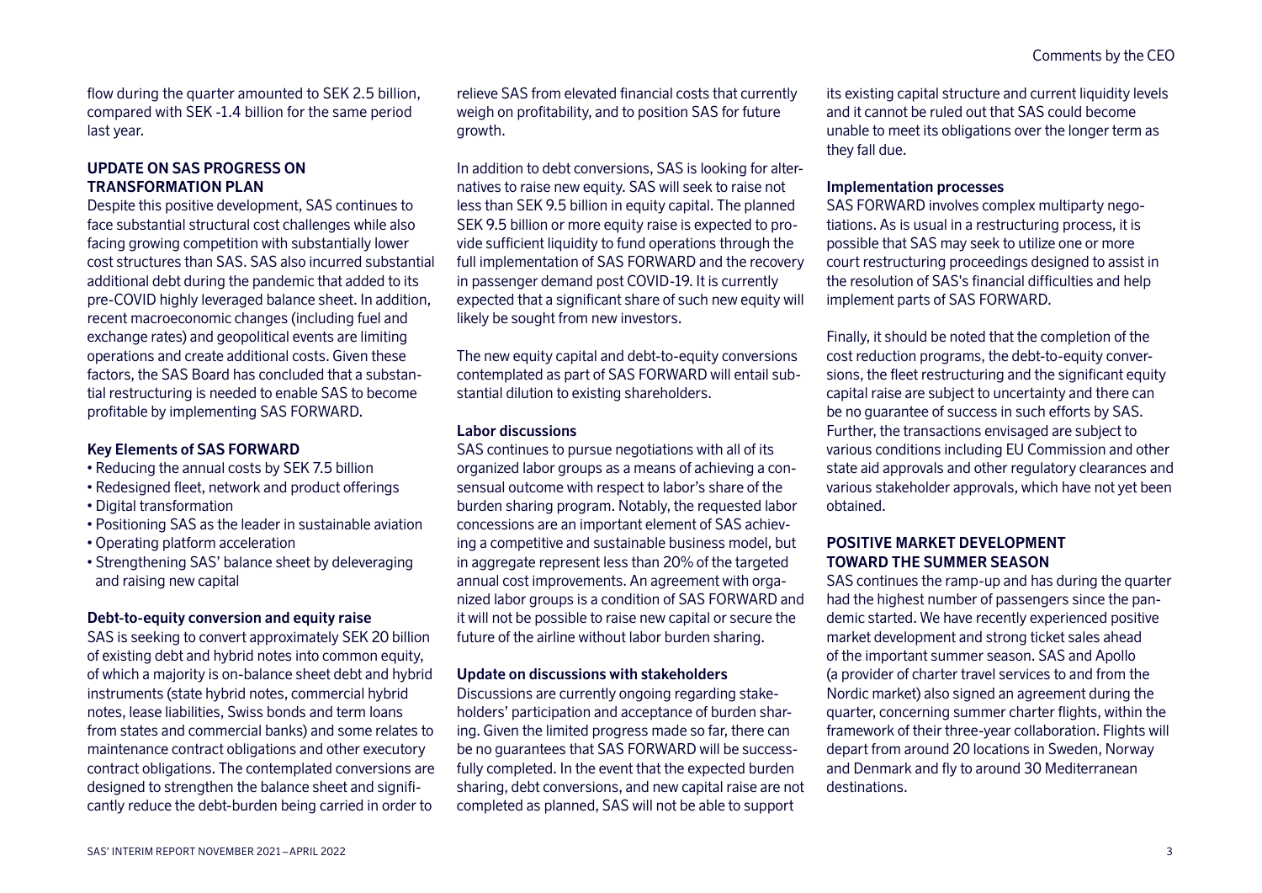flow during the quarter amounted to SEK 2.5 billion, compared with SEK -1.4 billion for the same period last year.

### **UPDATE ON SAS PROGRESS ON TRANSFORMATION PLAN**

Despite this positive development, SAS continues to face substantial structural cost challenges while also facing growing competition with substantially lower cost structures than SAS. SAS also incurred substantial additional debt during the pandemic that added to its pre-COVID highly leveraged balance sheet. In addition, recent macroeconomic changes (including fuel and exchange rates) and geopolitical events are limiting operations and create additional costs. Given these factors, the SAS Board has concluded that a substantial restructuring is needed to enable SAS to become profitable by implementing SAS FORWARD.

### **Key Elements of SAS FORWARD**

- Reducing the annual costs by SEK 7.5 billion
- Redesigned fleet, network and product offerings
- Digital transformation
- Positioning SAS as the leader in sustainable aviation
- Operating platform acceleration
- Strengthening SAS' balance sheet by deleveraging and raising new capital

### **Debt-to-equity conversion and equity raise**

SAS is seeking to convert approximately SEK 20 billion of existing debt and hybrid notes into common equity, of which a majority is on-balance sheet debt and hybrid instruments (state hybrid notes, commercial hybrid notes, lease liabilities, Swiss bonds and term loans from states and commercial banks) and some relates to maintenance contract obligations and other executory contract obligations. The contemplated conversions are designed to strengthen the balance sheet and significantly reduce the debt-burden being carried in order to

relieve SAS from elevated financial costs that currently weigh on profitability, and to position SAS for future growth.

In addition to debt conversions, SAS is looking for alternatives to raise new equity. SAS will seek to raise not less than SEK 9.5 billion in equity capital. The planned SEK 9.5 billion or more equity raise is expected to provide sufficient liquidity to fund operations through the full implementation of SAS FORWARD and the recovery in passenger demand post COVID-19. It is currently expected that a significant share of such new equity will likely be sought from new investors.

The new equity capital and debt-to-equity conversions contemplated as part of SAS FORWARD will entail substantial dilution to existing shareholders.

### **Labor discussions**

SAS continues to pursue negotiations with all of its organized labor groups as a means of achieving a consensual outcome with respect to labor's share of the burden sharing program. Notably, the requested labor concessions are an important element of SAS achieving a competitive and sustainable business model, but in aggregate represent less than 20% of the targeted annual cost improvements. An agreement with organized labor groups is a condition of SAS FORWARD and it will not be possible to raise new capital or secure the future of the airline without labor burden sharing.

### **Update on discussions with stakeholders**

Discussions are currently ongoing regarding stakeholders' participation and acceptance of burden sharing. Given the limited progress made so far, there can be no guarantees that SAS FORWARD will be successfully completed. In the event that the expected burden sharing, debt conversions, and new capital raise are not completed as planned, SAS will not be able to support

its existing capital structure and current liquidity levels and it cannot be ruled out that SAS could become unable to meet its obligations over the longer term as they fall due.

### **Implementation processes**

SAS FORWARD involves complex multiparty negotiations. As is usual in a restructuring process, it is possible that SAS may seek to utilize one or more court restructuring proceedings designed to assist in the resolution of SAS's financial difficulties and help implement parts of SAS FORWARD.

Finally, it should be noted that the completion of the cost reduction programs, the debt-to-equity conversions, the fleet restructuring and the significant equity capital raise are subject to uncertainty and there can be no guarantee of success in such efforts by SAS. Further, the transactions envisaged are subject to various conditions including EU Commission and other state aid approvals and other regulatory clearances and various stakeholder approvals, which have not yet been obtained.

### **POSITIVE MARKET DEVELOPMENT TOWARD THE SUMMER SEASON**

SAS continues the ramp-up and has during the quarter had the highest number of passengers since the pandemic started. We have recently experienced positive market development and strong ticket sales ahead of the important summer season. SAS and Apollo (a provider of charter travel services to and from the Nordic market) also signed an agreement during the quarter, concerning summer charter flights, within the framework of their three-year collaboration. Flights will depart from around 20 locations in Sweden, Norway and Denmark and fly to around 30 Mediterranean destinations.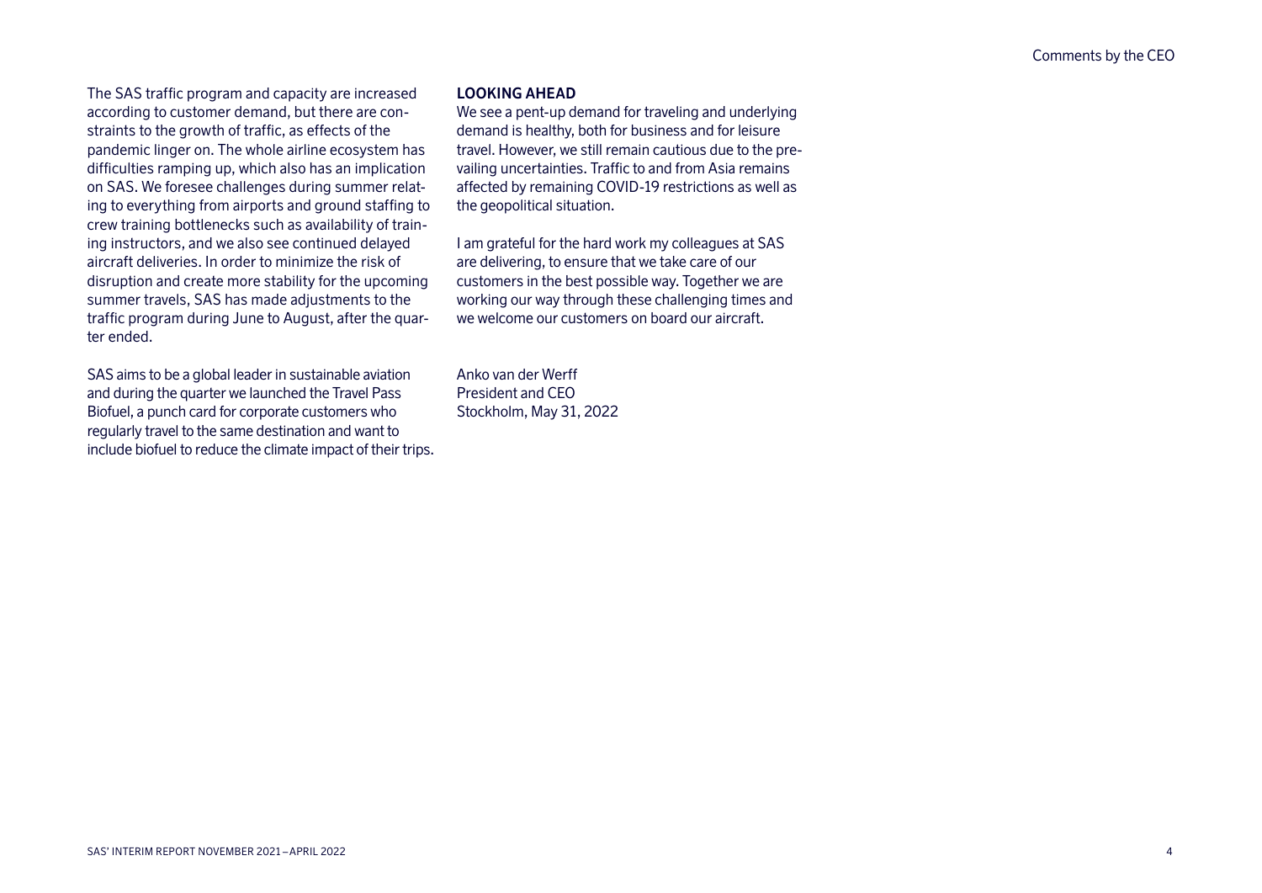The SAS traffic program and capacity are increased according to customer demand, but there are constraints to the growth of traffic, as effects of the pandemic linger on. The whole airline ecosystem has difficulties ramping up, which also has an implication on SAS. We foresee challenges during summer relating to everything from airports and ground staffing to crew training bottlenecks such as availability of training instructors, and we also see continued delayed aircraft deliveries. In order to minimize the risk of disruption and create more stability for the upcoming summer travels, SAS has made adjustments to the traffic program during June to August, after the quarter ended.

SAS aims to be a global leader in sustainable aviation and during the quarter we launched the Travel Pass Biofuel, a punch card for corporate customers who regularly travel to the same destination and want to include biofuel to reduce the climate impact of their trips.

### **LOOKING AHEAD**

We see a pent-up demand for traveling and underlying demand is healthy, both for business and for leisure travel. However, we still remain cautious due to the prevailing uncertainties. Traffic to and from Asia remains affected by remaining COVID-19 restrictions as well as the geopolitical situation.

I am grateful for the hard work my colleagues at SAS are delivering, to ensure that we take care of our customers in the best possible way. Together we are working our way through these challenging times and we welcome our customers on board our aircraft.

Anko van der Werff President and CEO Stockholm, May 31, 2022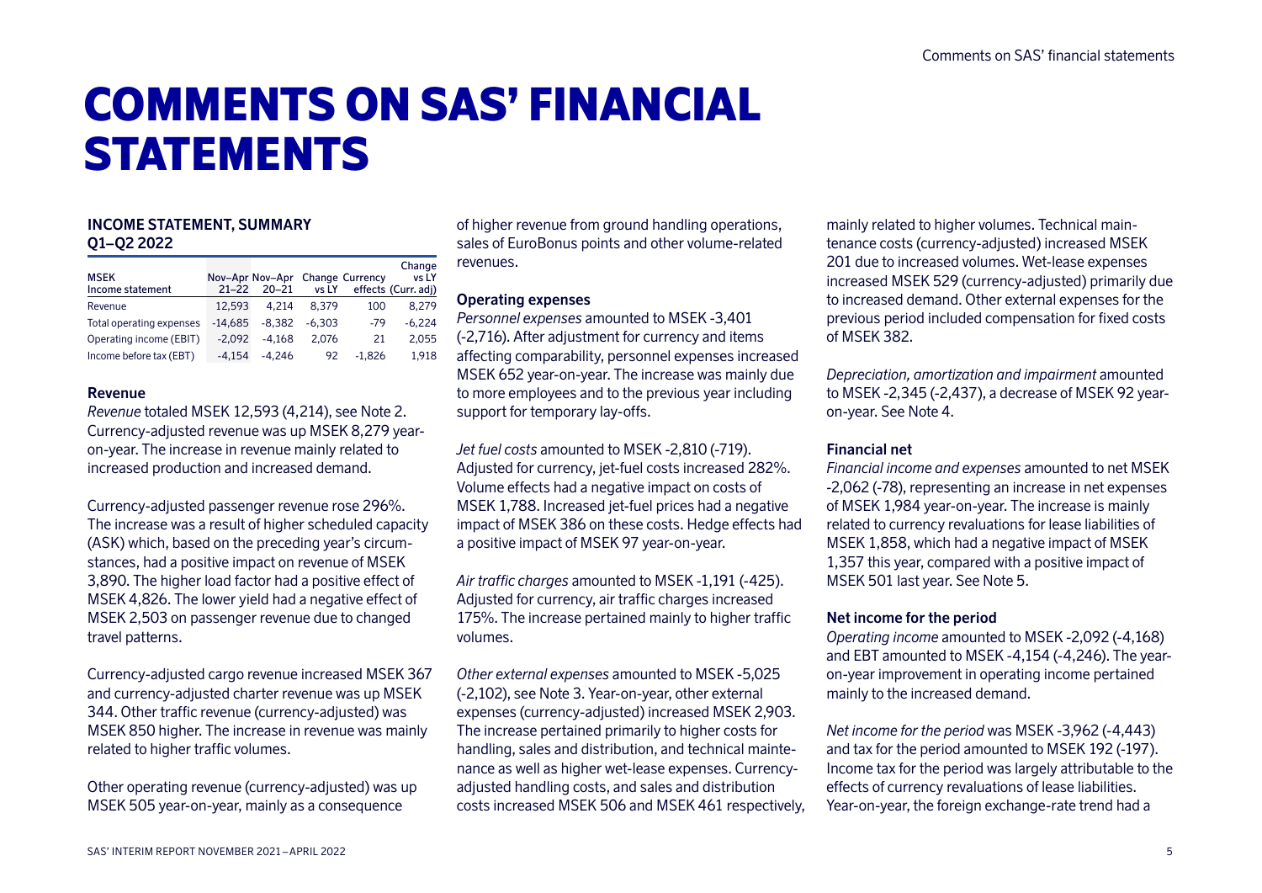# COMMENTS ON SAS' FINANCIAL **STATEMENTS**

# **INCOME STATEMENT, SUMMARY Q1–Q2 2022**

| <b>MSEK</b><br>Income statement | $21 - 22$ | Nov-Apr Nov-Apr Change Currency<br>20-21 | vs LY    |          | Change<br>vs LY<br>effects (Curr. adj) |
|---------------------------------|-----------|------------------------------------------|----------|----------|----------------------------------------|
| Revenue                         | 12.593    | 4.214                                    | 8.379    | 100      | 8.279                                  |
| Total operating expenses        | $-14.685$ | $-8.382$                                 | $-6.303$ | -79      | $-6.224$                               |
| Operating income (EBIT)         | $-2.092$  | $-4.168$                                 | 2.076    | 21       | 2,055                                  |
| Income before tax (EBT)         | $-4.154$  | $-4.246$                                 | 92       | $-1.826$ | 1.918                                  |

### **Revenue**

*Revenue* totaled MSEK 12,593 (4,214), see Note 2. Currency-adjusted revenue was up MSEK 8,279 yearon-year. The increase in revenue mainly related to increased production and increased demand.

Currency-adjusted passenger revenue rose 296%. The increase was a result of higher scheduled capacity (ASK) which, based on the preceding year's circumstances, had a positive impact on revenue of MSEK 3,890. The higher load factor had a positive effect of MSEK 4,826. The lower yield had a negative effect of MSEK 2,503 on passenger revenue due to changed travel patterns.

Currency-adjusted cargo revenue increased MSEK 367 and currency-adjusted charter revenue was up MSEK 344. Other traffic revenue (currency-adjusted) was MSEK 850 higher. The increase in revenue was mainly related to higher traffic volumes.

Other operating revenue (currency-adjusted) was up MSEK 505 year-on-year, mainly as a consequence

of higher revenue from ground handling operations, sales of EuroBonus points and other volume-related revenues.

### **Operating expenses**

*Personnel expenses* amounted to MSEK -3,401 (-2,716). After adjustment for currency and items affecting comparability, personnel expenses increased MSEK 652 year-on-year. The increase was mainly due to more employees and to the previous year including support for temporary lay-offs.

*Jet fuel costs* amounted to MSEK -2,810 (-719). Adjusted for currency, jet-fuel costs increased 282%. Volume effects had a negative impact on costs of MSEK 1,788. Increased jet-fuel prices had a negative impact of MSEK 386 on these costs. Hedge effects had a positive impact of MSEK 97 year-on-year.

*Air traffic charges* amounted to MSEK -1,191 (-425). Adjusted for currency, air traffic charges increased 175%. The increase pertained mainly to higher traffic volumes.

*Other external expenses* amounted to MSEK -5,025 (-2,102), see Note 3. Year-on-year, other external expenses (currency-adjusted) increased MSEK 2,903. The increase pertained primarily to higher costs for handling, sales and distribution, and technical maintenance as well as higher wet-lease expenses. Currencyadjusted handling costs, and sales and distribution costs increased MSEK 506 and MSEK 461 respectively, mainly related to higher volumes. Technical maintenance costs (currency-adjusted) increased MSEK 201 due to increased volumes. Wet-lease expenses increased MSEK 529 (currency-adjusted) primarily due to increased demand. Other external expenses for the previous period included compensation for fixed costs of MSEK 382.

*Depreciation, amortization and impairment* amounted to MSEK -2,345 (-2,437), a decrease of MSEK 92 yearon-year. See Note 4.

### **Financial net**

*Financial income and expenses* amounted to net MSEK -2,062 (-78), representing an increase in net expenses of MSEK 1,984 year-on-year. The increase is mainly related to currency revaluations for lease liabilities of MSEK 1,858, which had a negative impact of MSEK 1,357 this year, compared with a positive impact of MSEK 501 last year. See Note 5.

### **Net income for the period**

*Operating income* amounted to MSEK -2,092 (-4,168) and EBT amounted to MSEK -4,154 (-4,246). The yearon-year improvement in operating income pertained mainly to the increased demand.

*Net income for the period* was MSEK -3,962 (-4,443) and tax for the period amounted to MSEK 192 (-197). Income tax for the period was largely attributable to the effects of currency revaluations of lease liabilities. Year-on-year, the foreign exchange-rate trend had a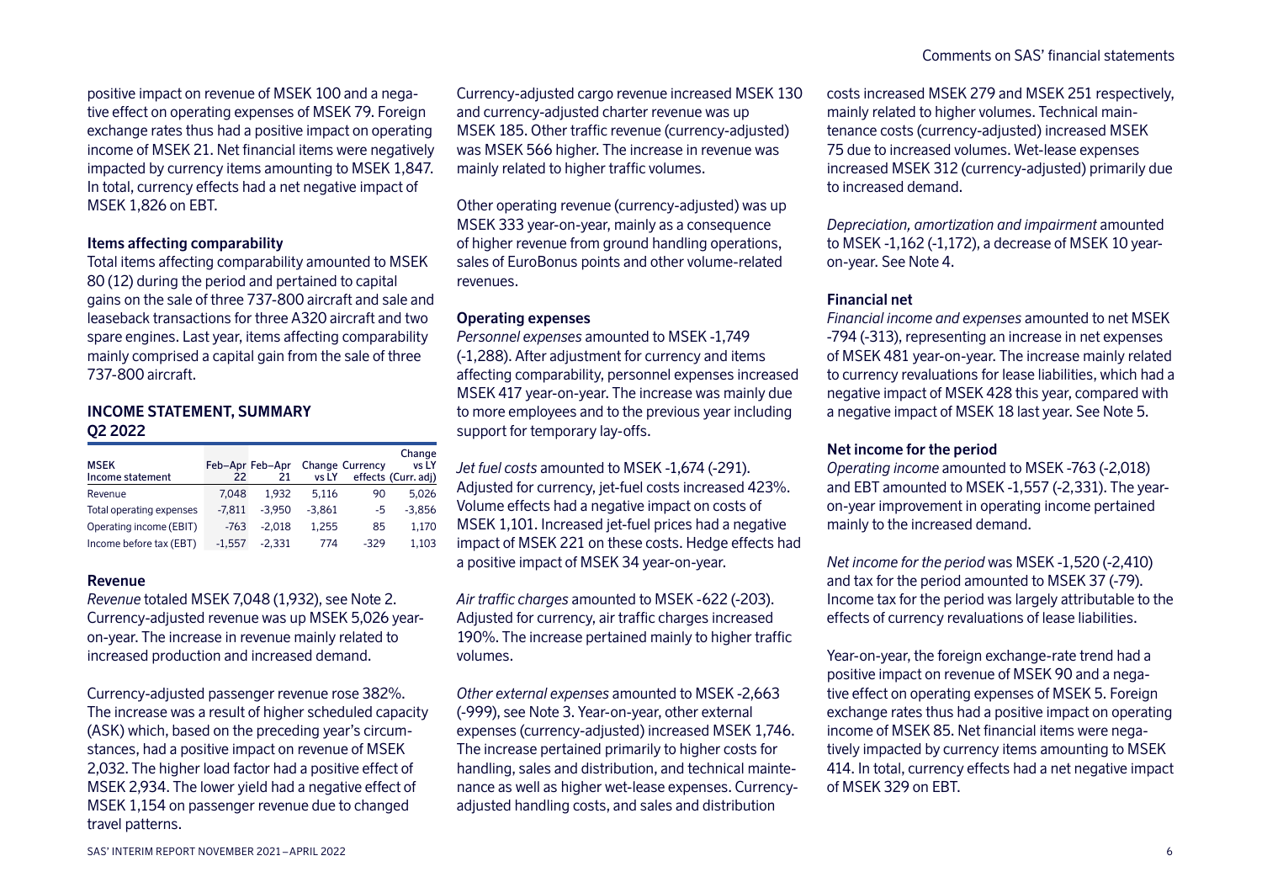positive impact on revenue of MSEK 100 and a negative effect on operating expenses of MSEK 79. Foreign exchange rates thus had a positive impact on operating income of MSEK 21. Net financial items were negatively impacted by currency items amounting to MSEK 1,847. In total, currency effects had a net negative impact of MSEK 1,826 on EBT.

### **Items affecting comparability**

Total items affecting comparability amounted to MSEK 80 (12) during the period and pertained to capital gains on the sale of three 737-800 aircraft and sale and leaseback transactions for three A320 aircraft and two spare engines. Last year, items affecting comparability mainly comprised a capital gain from the sale of three 737-800 aircraft.

### **INCOME STATEMENT, SUMMARY Q2 2022**

| <b>MSEK</b><br>Income statement | 22       | Feb-Apr Feb-Apr<br>21 | vs LY    | <b>Change Currency</b> | Change<br>vs LY<br>effects (Curr. adj) |
|---------------------------------|----------|-----------------------|----------|------------------------|----------------------------------------|
| Revenue                         | 7.048    | 1.932                 | 5.116    | 90                     | 5.026                                  |
| Total operating expenses        | $-7.811$ | $-3.950$              | $-3.861$ | -5                     | $-3,856$                               |
| Operating income (EBIT)         | $-763$   | $-2.018$              | 1.255    | 85                     | 1,170                                  |
| Income before tax (EBT)         | $-1.557$ | $-2.331$              | 774      | $-329$                 | 1.103                                  |

### **Revenue**

*Revenue* totaled MSEK 7,048 (1,932), see Note 2. Currency-adjusted revenue was up MSEK 5,026 yearon-year. The increase in revenue mainly related to increased production and increased demand.

Currency-adjusted passenger revenue rose 382%. The increase was a result of higher scheduled capacity (ASK) which, based on the preceding year's circumstances, had a positive impact on revenue of MSEK 2,032. The higher load factor had a positive effect of MSEK 2,934. The lower yield had a negative effect of MSEK 1,154 on passenger revenue due to changed travel patterns.

Currency-adjusted cargo revenue increased MSEK 130 and currency-adjusted charter revenue was up MSEK 185. Other traffic revenue (currency-adjusted) was MSEK 566 higher. The increase in revenue was mainly related to higher traffic volumes.

Other operating revenue (currency-adjusted) was up MSEK 333 year-on-year, mainly as a consequence of higher revenue from ground handling operations, sales of EuroBonus points and other volume-related revenues.

### **Operating expenses**

*Personnel expenses* amounted to MSEK -1,749 (-1,288). After adjustment for currency and items affecting comparability, personnel expenses increased MSEK 417 year-on-year. The increase was mainly due to more employees and to the previous year including support for temporary lay-offs.

*Jet fuel costs* amounted to MSEK -1,674 (-291). Adjusted for currency, jet-fuel costs increased 423%. Volume effects had a negative impact on costs of MSEK 1,101. Increased jet-fuel prices had a negative impact of MSEK 221 on these costs. Hedge effects had a positive impact of MSEK 34 year-on-year.

*Air traffic charges* amounted to MSEK -622 (-203). Adjusted for currency, air traffic charges increased 190%. The increase pertained mainly to higher traffic volumes.

*Other external expenses* amounted to MSEK -2,663 (-999), see Note 3. Year-on-year, other external expenses (currency-adjusted) increased MSEK 1,746. The increase pertained primarily to higher costs for handling, sales and distribution, and technical maintenance as well as higher wet-lease expenses. Currencyadjusted handling costs, and sales and distribution

costs increased MSEK 279 and MSEK 251 respectively, mainly related to higher volumes. Technical maintenance costs (currency-adjusted) increased MSEK 75 due to increased volumes. Wet-lease expenses increased MSEK 312 (currency-adjusted) primarily due to increased demand.

*Depreciation, amortization and impairment* amounted to MSEK -1,162 (-1,172), a decrease of MSEK 10 yearon-year. See Note 4.

### **Financial net**

*Financial income and expenses* amounted to net MSEK -794 (-313), representing an increase in net expenses of MSEK 481 year-on-year. The increase mainly related to currency revaluations for lease liabilities, which had a negative impact of MSEK 428 this year, compared with a negative impact of MSEK 18 last year. See Note 5.

### **Net income for the period**

*Operating income* amounted to MSEK -763 (-2,018) and EBT amounted to MSEK -1,557 (-2,331). The yearon-year improvement in operating income pertained mainly to the increased demand.

*Net income for the period* was MSEK -1,520 (-2,410) and tax for the period amounted to MSEK 37 (-79). Income tax for the period was largely attributable to the effects of currency revaluations of lease liabilities.

Year-on-year, the foreign exchange-rate trend had a positive impact on revenue of MSEK 90 and a negative effect on operating expenses of MSEK 5. Foreign exchange rates thus had a positive impact on operating income of MSEK 85. Net financial items were negatively impacted by currency items amounting to MSEK 414. In total, currency effects had a net negative impact of MSEK 329 on EBT.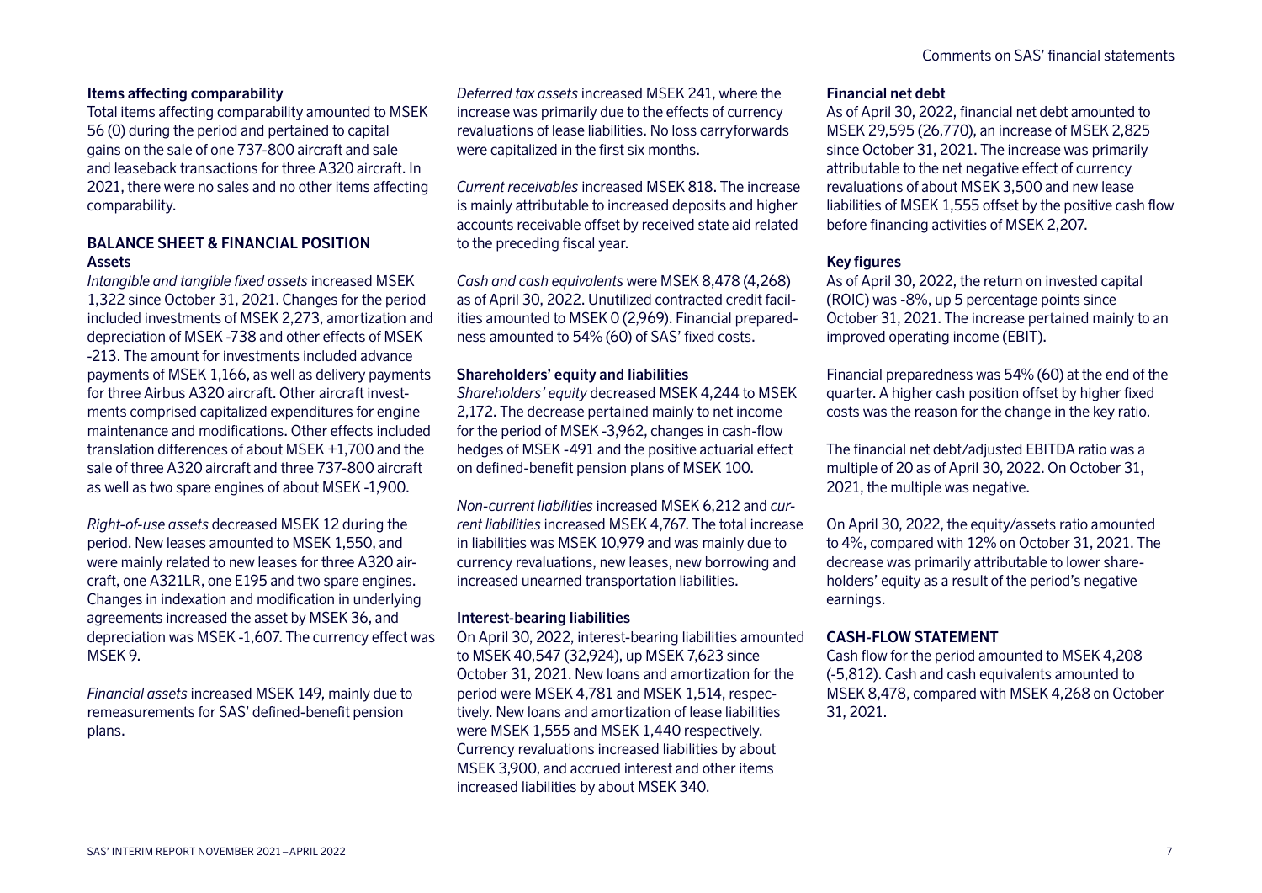# **Items affecting comparability**

Total items affecting comparability amounted to MSEK 56 (0) during the period and pertained to capital gains on the sale of one 737-800 aircraft and sale and leaseback transactions for three A320 aircraft. In 2021, there were no sales and no other items affecting comparability.

# **BALANCE SHEET & FINANCIAL POSITION Assets**

*Intangible and tangible fixed assets* increased MSEK 1,322 since October 31, 2021. Changes for the period included investments of MSEK 2,273, amortization and depreciation of MSEK -738 and other effects of MSEK -213. The amount for investments included advance payments of MSEK 1,166, as well as delivery payments for three Airbus A320 aircraft. Other aircraft investments comprised capitalized expenditures for engine maintenance and modifications. Other effects included translation differences of about MSEK +1,700 and the sale of three A320 aircraft and three 737-800 aircraft as well as two spare engines of about MSEK -1,900.

*Right-of-use assets* decreased MSEK 12 during the period. New leases amounted to MSEK 1,550, and were mainly related to new leases for three A320 aircraft, one A321LR, one E195 and two spare engines. Changes in indexation and modification in underlying agreements increased the asset by MSEK 36, and depreciation was MSEK -1,607. The currency effect was MSEK 9.

*Financial assets* increased MSEK 149, mainly due to remeasurements for SAS' defined-benefit pension plans.

*Deferred tax assets* increased MSEK 241, where the increase was primarily due to the effects of currency revaluations of lease liabilities. No loss carryforwards were capitalized in the first six months.

*Current receivables* increased MSEK 818. The increase is mainly attributable to increased deposits and higher accounts receivable offset by received state aid related to the preceding fiscal year.

*Cash and cash equivalents* were MSEK 8,478 (4,268) as of April 30, 2022. Unutilized contracted credit facilities amounted to MSEK 0 (2,969). Financial preparedness amounted to 54% (60) of SAS' fixed costs.

### **Shareholders' equity and liabilities**

*Shareholders' equity* decreased MSEK 4,244 to MSEK 2,172. The decrease pertained mainly to net income for the period of MSEK -3,962, changes in cash-flow hedges of MSEK -491 and the positive actuarial effect on defined-benefit pension plans of MSEK 100.

*Non-current liabilities* increased MSEK 6,212 and *current liabilities* increased MSEK 4,767. The total increase in liabilities was MSEK 10,979 and was mainly due to currency revaluations, new leases, new borrowing and increased unearned transportation liabilities.

### **Interest-bearing liabilities**

On April 30, 2022, interest-bearing liabilities amounted to MSEK 40,547 (32,924), up MSEK 7,623 since October 31, 2021. New loans and amortization for the period were MSEK 4,781 and MSEK 1,514, respectively. New loans and amortization of lease liabilities were MSEK 1,555 and MSEK 1,440 respectively. Currency revaluations increased liabilities by about MSEK 3,900, and accrued interest and other items increased liabilities by about MSEK 340.

### **Financial net debt**

As of April 30, 2022, financial net debt amounted to MSEK 29,595 (26,770), an increase of MSEK 2,825 since October 31, 2021. The increase was primarily attributable to the net negative effect of currency revaluations of about MSEK 3,500 and new lease liabilities of MSEK 1,555 offset by the positive cash flow before financing activities of MSEK 2,207.

### **Key figures**

As of April 30, 2022, the return on invested capital (ROIC) was -8%, up 5 percentage points since October 31, 2021. The increase pertained mainly to an improved operating income (EBIT).

Financial preparedness was 54% (60) at the end of the quarter. A higher cash position offset by higher fixed costs was the reason for the change in the key ratio.

The financial net debt/adjusted EBITDA ratio was a multiple of 20 as of April 30, 2022. On October 31, 2021, the multiple was negative.

On April 30, 2022, the equity/assets ratio amounted to 4%, compared with 12% on October 31, 2021. The decrease was primarily attributable to lower shareholders' equity as a result of the period's negative earnings.

# **CASH-FLOW STATEMENT**

Cash flow for the period amounted to MSEK 4,208 (-5,812). Cash and cash equivalents amounted to MSEK 8,478, compared with MSEK 4,268 on October 31, 2021.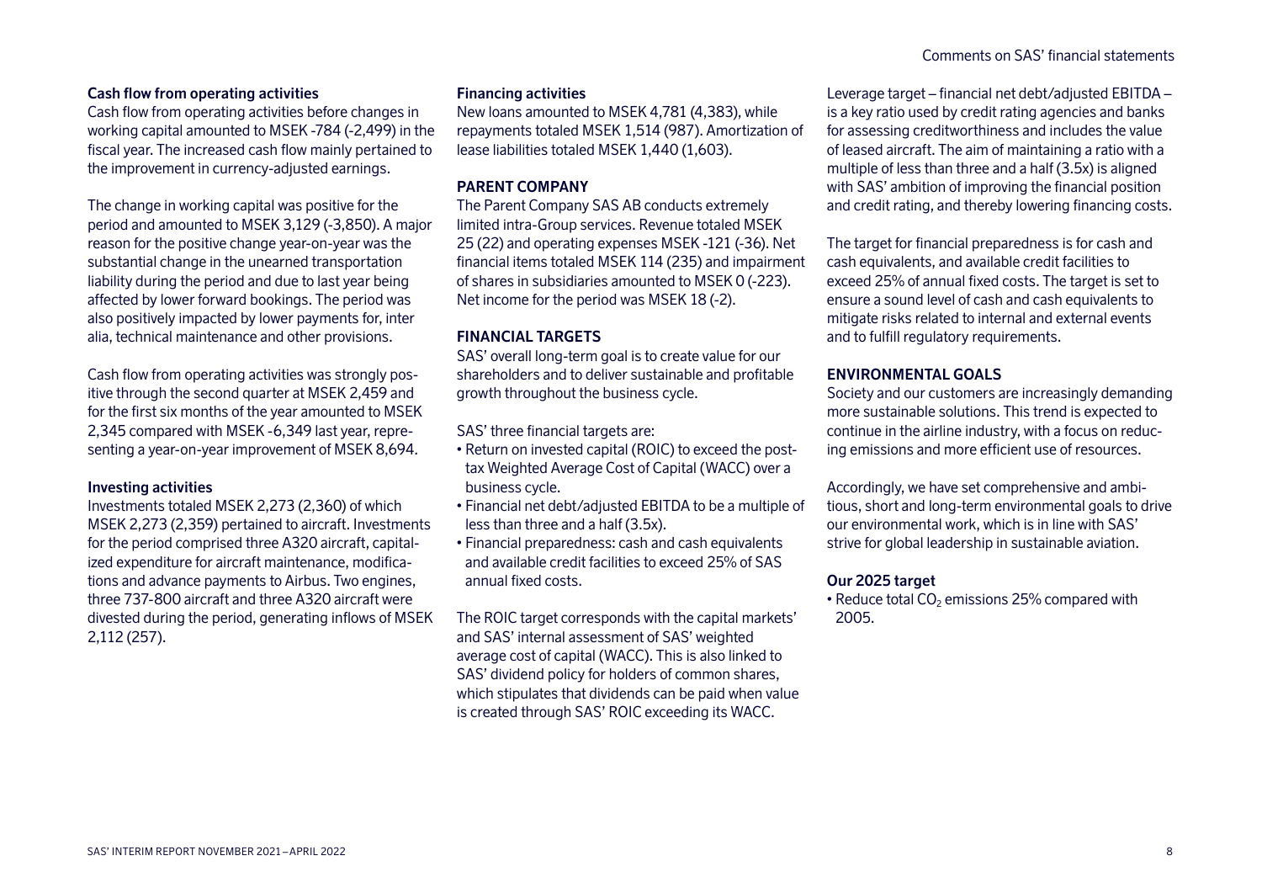# **Cash flow from operating activities**

Cash flow from operating activities before changes in working capital amounted to MSEK -784 (-2,499) in the fiscal year. The increased cash flow mainly pertained to the improvement in currency-adjusted earnings.

The change in working capital was positive for the period and amounted to MSEK 3,129 (-3,850). A major reason for the positive change year-on-year was the substantial change in the unearned transportation liability during the period and due to last year being affected by lower forward bookings. The period was also positively impacted by lower payments for, inter alia, technical maintenance and other provisions.

Cash flow from operating activities was strongly positive through the second quarter at MSEK 2,459 and for the first six months of the year amounted to MSEK 2,345 compared with MSEK -6,349 last year, representing a year-on-year improvement of MSEK 8,694.

### **Investing activities**

Investments totaled MSEK 2,273 (2,360) of which MSEK 2,273 (2,359) pertained to aircraft. Investments for the period comprised three A320 aircraft, capitalized expenditure for aircraft maintenance, modifications and advance payments to Airbus. Two engines, three 737-800 aircraft and three A320 aircraft were divested during the period, generating inflows of MSEK 2,112 (257).

### **Financing activities**

New loans amounted to MSEK 4,781 (4,383), while repayments totaled MSEK 1,514 (987). Amortization of lease liabilities totaled MSEK 1,440 (1,603).

### **PARENT COMPANY**

The Parent Company SAS AB conducts extremely limited intra-Group services. Revenue totaled MSEK 25 (22) and operating expenses MSEK -121 (-36). Net financial items totaled MSEK 114 (235) and impairment of shares in subsidiaries amounted to MSEK 0 (-223). Net income for the period was MSEK 18 (-2).

### **FINANCIAL TARGETS**

SAS' overall long-term goal is to create value for our shareholders and to deliver sustainable and profitable growth throughout the business cycle.

SAS' three financial targets are:

- Return on invested capital (ROIC) to exceed the posttax Weighted Average Cost of Capital (WACC) over a business cycle.
- Financial net debt/adjusted EBITDA to be a multiple of less than three and a half (3.5x).
- Financial preparedness: cash and cash equivalents and available credit facilities to exceed 25% of SAS annual fixed costs.

The ROIC target corresponds with the capital markets' and SAS' internal assessment of SAS' weighted average cost of capital (WACC). This is also linked to SAS' dividend policy for holders of common shares, which stipulates that dividends can be paid when value is created through SAS' ROIC exceeding its WACC.

Leverage target – financial net debt/adjusted EBITDA – is a key ratio used by credit rating agencies and banks for assessing creditworthiness and includes the value of leased aircraft. The aim of maintaining a ratio with a multiple of less than three and a half (3.5x) is aligned with SAS' ambition of improving the financial position and credit rating, and thereby lowering financing costs.

The target for financial preparedness is for cash and cash equivalents, and available credit facilities to exceed 25% of annual fixed costs. The target is set to ensure a sound level of cash and cash equivalents to mitigate risks related to internal and external events and to fulfill regulatory requirements.

### **ENVIRONMENTAL GOALS**

Society and our customers are increasingly demanding more sustainable solutions. This trend is expected to continue in the airline industry, with a focus on reducing emissions and more efficient use of resources.

Accordingly, we have set comprehensive and ambitious, short and long-term environmental goals to drive our environmental work, which is in line with SAS' strive for global leadership in sustainable aviation.

### **Our 2025 target**

• Reduce total  $CO<sub>2</sub>$  emissions 25% compared with 2005.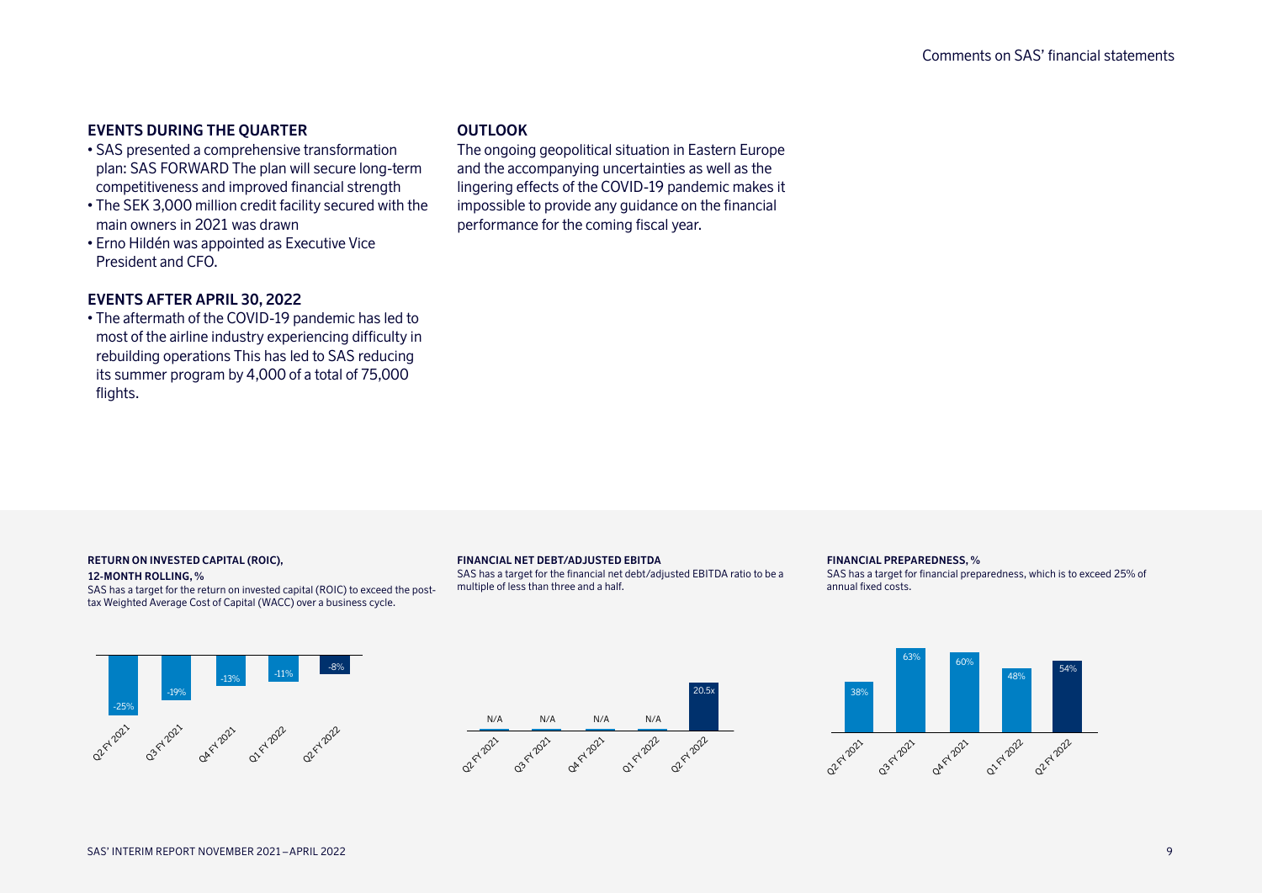# **EVENTS DURING THE QUARTER**

- SAS presented a comprehensive transformation plan: SAS FORWARD The plan will secure long-term competitiveness and improved financial strength
- The SEK 3,000 million credit facility secured with the main owners in 2021 was drawn
- Erno Hildén was appointed as Executive Vice President and CFO.

# **EVENTS AFTER APRIL 30, 2022**

• The aftermath of the COVID-19 pandemic has led to most of the airline industry experiencing difficulty in rebuilding operations This has led to SAS reducing its summer program by 4,000 of a total of 75,000 flights.

### **OUTLOOK**

The ongoing geopolitical situation in Eastern Europe and the accompanying uncertainties as well as the lingering effects of the COVID-19 pandemic makes it impossible to provide any guidance on the financial performance for the coming fiscal year.

#### **RETURN ON INVESTED CAPITAL (ROIC),**

#### **12-MONTH ROLLING, %**

SAS has a target for the return on invested capital (ROIC) to exceed the posttax Weighted Average Cost of Capital (WACC) over a business cycle.

#### **FINANCIAL NET DEBT/ADJUSTED EBITDA**

SAS has a target for the financial net debt/adjusted EBITDA ratio to be a multiple of less than three and a half.

#### **FINANCIAL PREPAREDNESS, %**

SAS has a target for financial preparedness, which is to exceed 25% of annual fixed costs.





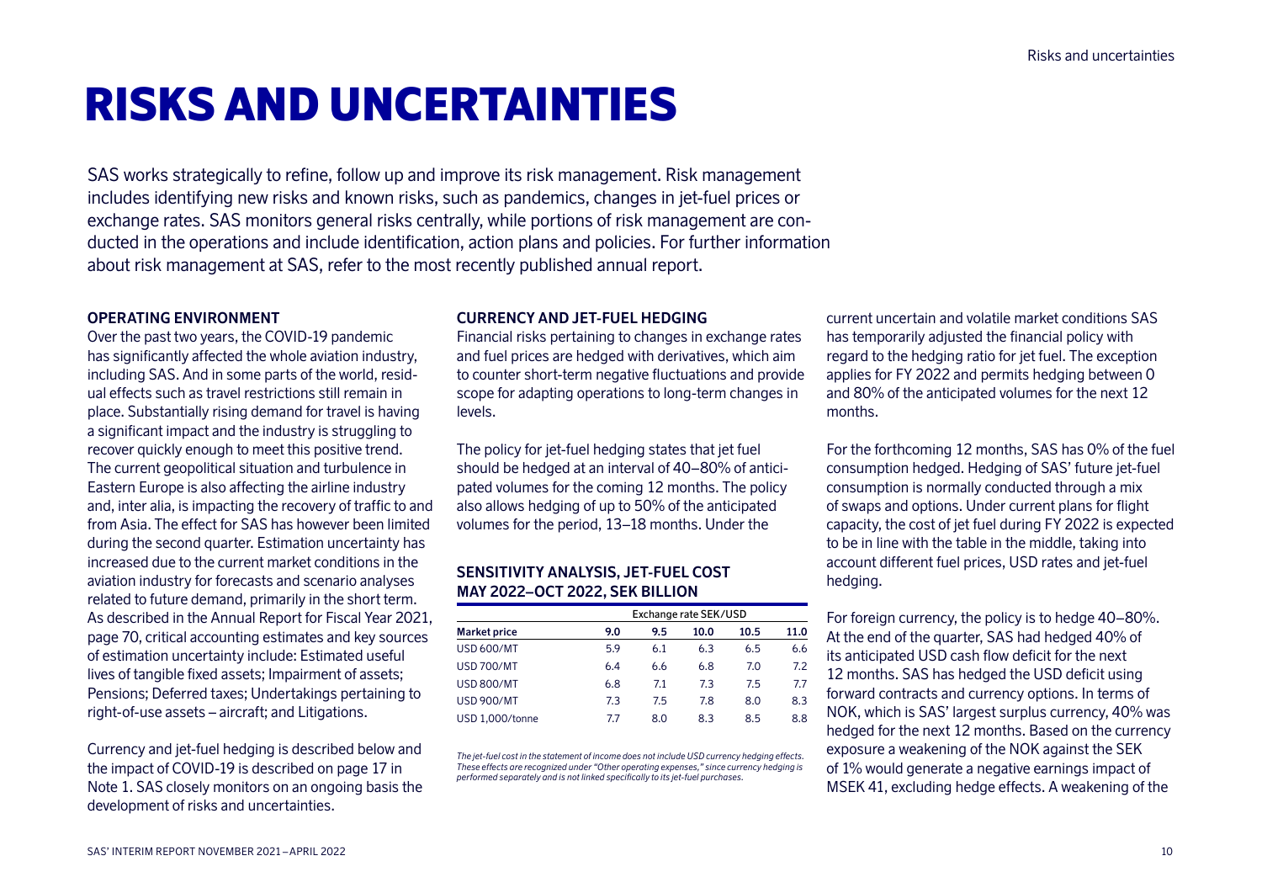# RISKS AND UNCERTAINTIES

SAS works strategically to refine, follow up and improve its risk management. Risk management includes identifying new risks and known risks, such as pandemics, changes in jet-fuel prices or exchange rates. SAS monitors general risks centrally, while portions of risk management are conducted in the operations and include identification, action plans and policies. For further information about risk management at SAS, refer to the most recently published annual report.

### **OPERATING ENVIRONMENT**

Over the past two years, the COVID-19 pandemic has significantly affected the whole aviation industry, including SAS. And in some parts of the world, residual effects such as travel restrictions still remain in place. Substantially rising demand for travel is having a significant impact and the industry is struggling to recover quickly enough to meet this positive trend. The current geopolitical situation and turbulence in Eastern Europe is also affecting the airline industry and, inter alia, is impacting the recovery of traffic to and from Asia. The effect for SAS has however been limited during the second quarter. Estimation uncertainty has increased due to the current market conditions in the aviation industry for forecasts and scenario analyses related to future demand, primarily in the short term. As described in the Annual Report for Fiscal Year 2021, page 70, critical accounting estimates and key sources of estimation uncertainty include: Estimated useful lives of tangible fixed assets; Impairment of assets; Pensions; Deferred taxes; Undertakings pertaining to right-of-use assets – aircraft; and Litigations.

Currency and jet-fuel hedging is described below and the impact of COVID-19 is described on page 17 in Note 1. SAS closely monitors on an ongoing basis the development of risks and uncertainties.

### **CURRENCY AND JET-FUEL HEDGING**

Financial risks pertaining to changes in exchange rates and fuel prices are hedged with derivatives, which aim to counter short-term negative fluctuations and provide scope for adapting operations to long-term changes in levels.

The policy for jet-fuel hedging states that jet fuel should be hedged at an interval of 40–80% of anticipated volumes for the coming 12 months. The policy also allows hedging of up to 50% of the anticipated volumes for the period, 13–18 months. Under the

### **SENSITIVITY ANALYSIS, JET-FUEL COST MAY 2022–OCT 2022, SEK BILLION**

|                     |     | Exchange rate SEK/USD |      |      |      |
|---------------------|-----|-----------------------|------|------|------|
| <b>Market price</b> | 9.0 | 9.5                   | 10.0 | 10.5 | 11.0 |
| USD 600/MT          | 5.9 | 6.1                   | 6.3  | 6.5  | 6.6  |
| <b>USD 700/MT</b>   | 6.4 | 6.6                   | 6.8  | 7.0  | 7.2  |
| <b>USD 800/MT</b>   | 6.8 | 7.1                   | 7.3  | 7.5  | 7.7  |
| <b>USD 900/MT</b>   | 7.3 | 7.5                   | 7.8  | 8.0  | 8.3  |
| USD 1.000/tonne     | 7.7 | 8.0                   | 8.3  | 8.5  | 8.8  |

*The jet-fuel cost in the statement of income does not include USD currency hedging effects. These effects are recognized under "Other operating expenses," since currency hedging is performed separately and is not linked specifically to its jet-fuel purchases.*

current uncertain and volatile market conditions SAS has temporarily adjusted the financial policy with regard to the hedging ratio for jet fuel. The exception applies for FY 2022 and permits hedging between 0 and 80% of the anticipated volumes for the next 12 months.

For the forthcoming 12 months, SAS has 0% of the fuel consumption hedged. Hedging of SAS' future jet-fuel consumption is normally conducted through a mix of swaps and options. Under current plans for flight capacity, the cost of jet fuel during FY 2022 is expected to be in line with the table in the middle, taking into account different fuel prices, USD rates and jet-fuel hedging.

For foreign currency, the policy is to hedge 40–80%. At the end of the quarter, SAS had hedged 40% of its anticipated USD cash flow deficit for the next 12 months. SAS has hedged the USD deficit using forward contracts and currency options. In terms of NOK, which is SAS' largest surplus currency, 40% was hedged for the next 12 months. Based on the currency exposure a weakening of the NOK against the SEK of 1% would generate a negative earnings impact of MSEK 41, excluding hedge effects. A weakening of the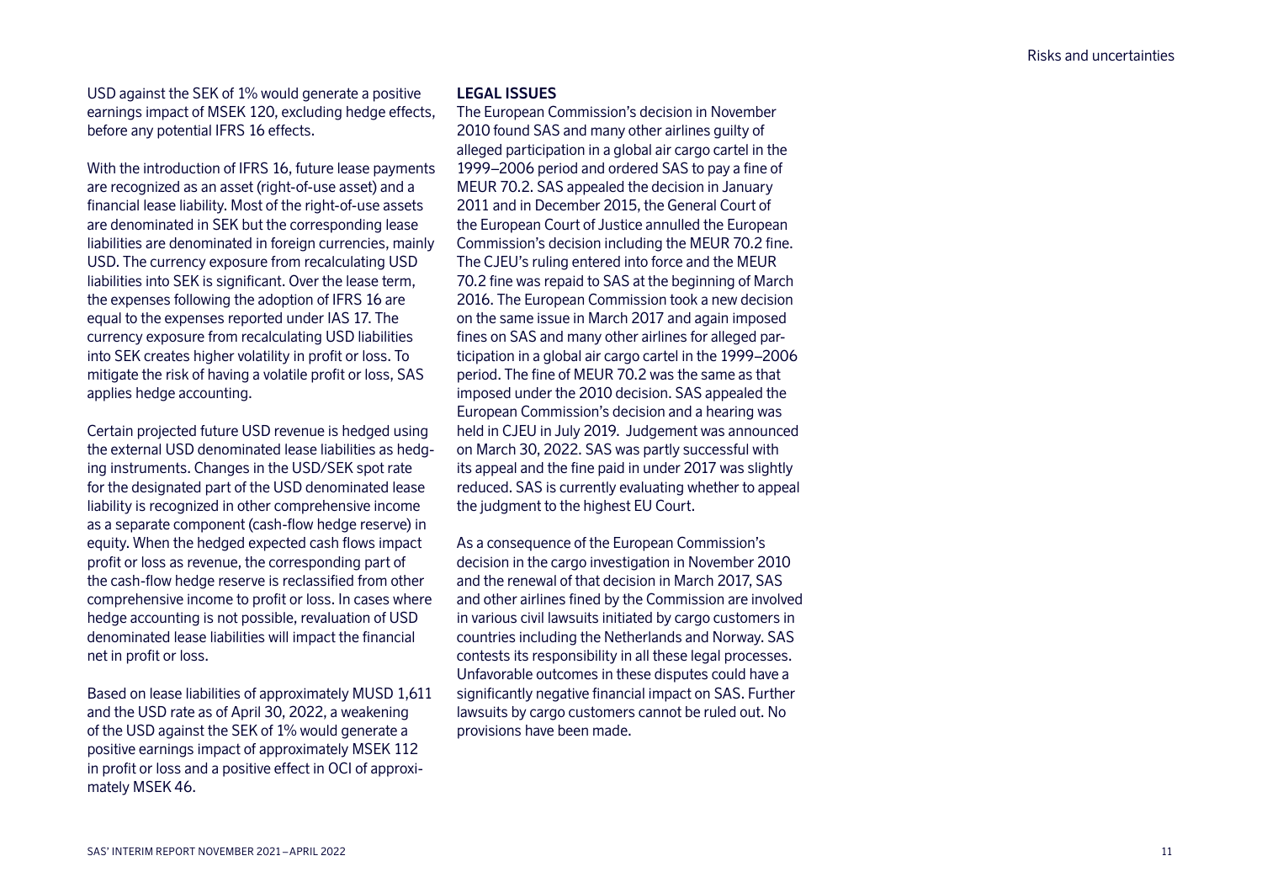USD against the SEK of 1% would generate a positive earnings impact of MSEK 120, excluding hedge effects, before any potential IFRS 16 effects.

With the introduction of IFRS 16, future lease payments are recognized as an asset (right-of-use asset) and a financial lease liability. Most of the right-of-use assets are denominated in SEK but the corresponding lease liabilities are denominated in foreign currencies, mainly USD. The currency exposure from recalculating USD liabilities into SEK is significant. Over the lease term, the expenses following the adoption of IFRS 16 are equal to the expenses reported under IAS 17. The currency exposure from recalculating USD liabilities into SEK creates higher volatility in profit or loss. To mitigate the risk of having a volatile profit or loss, SAS applies hedge accounting.

Certain projected future USD revenue is hedged using the external USD denominated lease liabilities as hedging instruments. Changes in the USD/SEK spot rate for the designated part of the USD denominated lease liability is recognized in other comprehensive income as a separate component (cash-flow hedge reserve) in equity. When the hedged expected cash flows impact profit or loss as revenue, the corresponding part of the cash-flow hedge reserve is reclassified from other comprehensive income to profit or loss. In cases where hedge accounting is not possible, revaluation of USD denominated lease liabilities will impact the financial net in profit or loss.

Based on lease liabilities of approximately MUSD 1,611 and the USD rate as of April 30, 2022, a weakening of the USD against the SEK of 1% would generate a positive earnings impact of approximately MSEK 112 in profit or loss and a positive effect in OCI of approximately MSEK 46.

### **LEGAL ISSUES**

The European Commission's decision in November 2010 found SAS and many other airlines guilty of alleged participation in a global air cargo cartel in the 1999–2006 period and ordered SAS to pay a fine of MEUR 70.2. SAS appealed the decision in January 2011 and in December 2015, the General Court of the European Court of Justice annulled the European Commission's decision including the MEUR 70.2 fine. The CJEU's ruling entered into force and the MEUR 70.2 fine was repaid to SAS at the beginning of March 2016. The European Commission took a new decision on the same issue in March 2017 and again imposed fines on SAS and many other airlines for alleged participation in a global air cargo cartel in the 1999–2006 period. The fine of MEUR 70.2 was the same as that imposed under the 2010 decision. SAS appealed the European Commission's decision and a hearing was held in CJEU in July 2019. Judgement was announced on March 30, 2022. SAS was partly successful with its appeal and the fine paid in under 2017 was slightly reduced. SAS is currently evaluating whether to appeal the judgment to the highest EU Court.

As a consequence of the European Commission's decision in the cargo investigation in November 2010 and the renewal of that decision in March 2017, SAS and other airlines fined by the Commission are involved in various civil lawsuits initiated by cargo customers in countries including the Netherlands and Norway. SAS contests its responsibility in all these legal processes. Unfavorable outcomes in these disputes could have a significantly negative financial impact on SAS. Further lawsuits by cargo customers cannot be ruled out. No provisions have been made.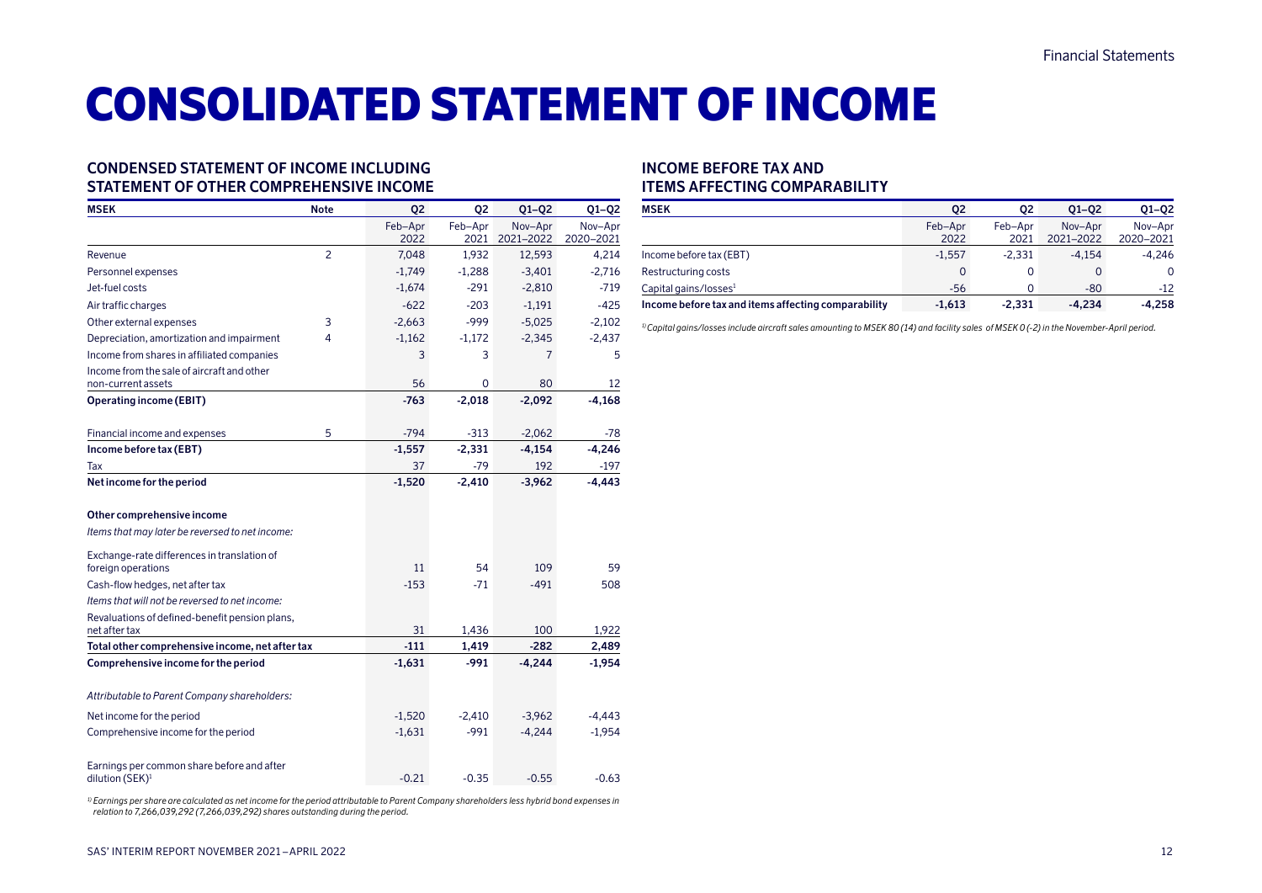# CONSOLIDATED STATEMENT OF INCOME

### **CONDENSED STATEMENT OF INCOME INCLUDING STATEMENT OF OTHER COMPREHENSIVE INCOME**

| <b>MSEK</b>                                                               | <b>Note</b> | Q <sub>2</sub>  | 02              | $Q1-Q2$              | $Q1-Q2$              |
|---------------------------------------------------------------------------|-------------|-----------------|-----------------|----------------------|----------------------|
|                                                                           |             | Feb-Apr<br>2022 | Feb-Apr<br>2021 | Nov-Apr<br>2021-2022 | Nov-Apr<br>2020-2021 |
| Revenue                                                                   | 2           | 7,048           | 1,932           | 12,593               | 4,214                |
| Personnel expenses                                                        |             | $-1,749$        | $-1,288$        | $-3,401$             | $-2,716$             |
| Jet-fuel costs                                                            |             | $-1,674$        | $-291$          | $-2,810$             | $-719$               |
| Air traffic charges                                                       |             | $-622$          | $-203$          | $-1,191$             | $-425$               |
| Other external expenses                                                   | 3           | $-2,663$        | $-999$          | $-5,025$             | $-2,102$             |
| Depreciation, amortization and impairment                                 | 4           | $-1,162$        | $-1,172$        | $-2,345$             | $-2,437$             |
| Income from shares in affiliated companies                                |             | 3               | 3               | 7                    | 5                    |
| Income from the sale of aircraft and other                                |             |                 |                 |                      |                      |
| non-current assets                                                        |             | 56              | 0               | 80                   | 12                   |
| <b>Operating income (EBIT)</b>                                            |             | $-763$          | $-2,018$        | $-2,092$             | $-4,168$             |
| Financial income and expenses                                             | 5           | $-794$          | $-313$          | $-2,062$             | -78                  |
| Income before tax (EBT)                                                   |             | $-1,557$        | $-2,331$        | $-4,154$             | $-4,246$             |
| Tax                                                                       |             | 37              | $-79$           | 192                  | $-197$               |
| Net income for the period                                                 |             | $-1,520$        | $-2,410$        | $-3,962$             | $-4,443$             |
| Other comprehensive income                                                |             |                 |                 |                      |                      |
| Items that may later be reversed to net income:                           |             |                 |                 |                      |                      |
| Exchange-rate differences in translation of<br>foreign operations         |             | 11              | 54              | 109                  | 59                   |
| Cash-flow hedges, net after tax                                           |             | $-153$          | $-71$           | $-491$               | 508                  |
| Items that will not be reversed to net income:                            |             |                 |                 |                      |                      |
| Revaluations of defined-benefit pension plans,                            |             |                 |                 |                      |                      |
| net after tax                                                             |             | 31              | 1,436           | 100                  | 1,922                |
| Total other comprehensive income, net after tax                           |             | $-111$          | 1,419           | $-282$               | 2,489                |
| Comprehensive income for the period                                       |             | $-1,631$        | $-991$          | $-4,244$             | $-1,954$             |
| Attributable to Parent Company shareholders:                              |             |                 |                 |                      |                      |
| Net income for the period                                                 |             | $-1,520$        | $-2,410$        | $-3.962$             | $-4.443$             |
| Comprehensive income for the period                                       |             | $-1,631$        | $-991$          | $-4,244$             | $-1,954$             |
| Earnings per common share before and after<br>dilution (SEK) <sup>1</sup> |             | $-0.21$         | $-0.35$         | $-0.55$              | $-0.63$              |

*1) Earnings per share are calculated as net income for the period attributable to Parent Company shareholders less hybrid bond expenses in relation to 7,266,039,292 (7,266,039,292) shares outstanding during the period.*

### **INCOME BEFORE TAX AND ITEMS AFFECTING COMPARABILITY**

| <b>MSEK</b>                                         | 02              | 02              | $Q1 - Q2$            | $01 - 02$            |
|-----------------------------------------------------|-----------------|-----------------|----------------------|----------------------|
|                                                     | Feb-Apr<br>2022 | Feb-Apr<br>2021 | Nov-Apr<br>2021-2022 | Nov-Apr<br>2020-2021 |
| Income before tax (EBT)                             | $-1.557$        | $-2.331$        | $-4.154$             | -4.246               |
| Restructuring costs                                 |                 | 0               |                      | $\Omega$             |
| Capital gains/losses <sup>1</sup>                   | $-56$           |                 | $-80$                | $-12$                |
| Income before tax and items affecting comparability | $-1.613$        | $-2.331$        | $-4.234$             | $-4.258$             |

*1) Capital gains/losses include aircraft sales amounting to MSEK 80 (14) and facility sales of MSEK 0 (-2) in the November-April period.*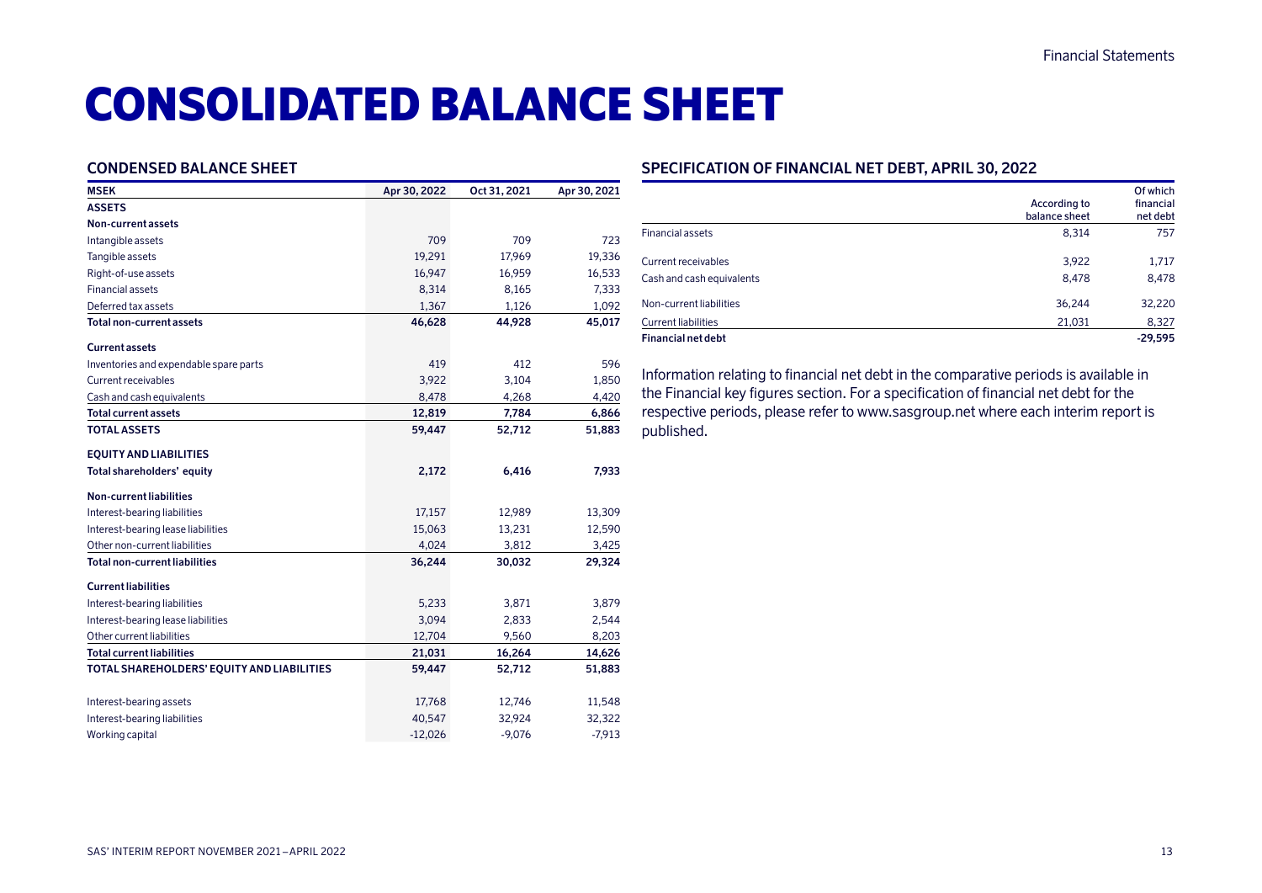# CONSOLIDATED BALANCE SHEET

### **CONDENSED BALANCE SHEET**

| 709<br>19,291 | 709                                     |                              |
|---------------|-----------------------------------------|------------------------------|
|               |                                         |                              |
|               |                                         |                              |
|               |                                         | 723                          |
|               | 17,969                                  | 19,336                       |
|               | 16,959                                  | 16,533                       |
| 8,314         | 8,165                                   | 7,333                        |
| 1,367         | 1,126                                   | 1,092                        |
| 46,628        | 44,928                                  | 45,017                       |
|               |                                         |                              |
| 419           | 412                                     | 596                          |
| 3,922         | 3,104                                   | 1,850                        |
| 8,478         | 4,268                                   | 4,420                        |
| 12,819        | 7,784                                   | 6,866                        |
| 59,447        | 52,712                                  | 51,883                       |
|               |                                         |                              |
| 2,172         | 6,416                                   | 7,933                        |
|               |                                         |                              |
| 17,157        | 12,989                                  | 13,309                       |
| 15,063        | 13,231                                  | 12,590                       |
| 4,024         | 3,812                                   | 3,425                        |
| 36,244        | 30,032                                  | 29,324                       |
|               |                                         |                              |
| 5,233         | 3,871                                   | 3,879                        |
| 3,094         | 2,833                                   | 2,544                        |
| 12,704        | 9,560                                   | 8,203                        |
| 21,031        | 16,264                                  | 14,626                       |
| 59,447        | 52,712                                  | 51,883                       |
|               |                                         | 11,548                       |
|               |                                         | 32,322                       |
|               |                                         | $-7,913$                     |
|               | 16,947<br>17,768<br>40,547<br>$-12,026$ | 12,746<br>32,924<br>$-9,076$ |

### **SPECIFICATION OF FINANCIAL NET DEBT, APRIL 30, 2022**

|                            | According to<br>balance sheet | Of which<br>financial<br>net debt |
|----------------------------|-------------------------------|-----------------------------------|
| <b>Financial assets</b>    | 8,314                         | 757                               |
| Current receivables        | 3,922                         | 1,717                             |
| Cash and cash equivalents  | 8,478                         | 8,478                             |
| Non-current liabilities    | 36,244                        | 32,220                            |
| <b>Current liabilities</b> | 21,031                        | 8,327                             |
| <b>Financial net debt</b>  |                               | $-29.595$                         |

Information relating to financial net debt in the comparative periods is available in the Financial key figures section. For a specification of financial net debt for the respective periods, please refer to www.sasgroup.net where each interim report is published.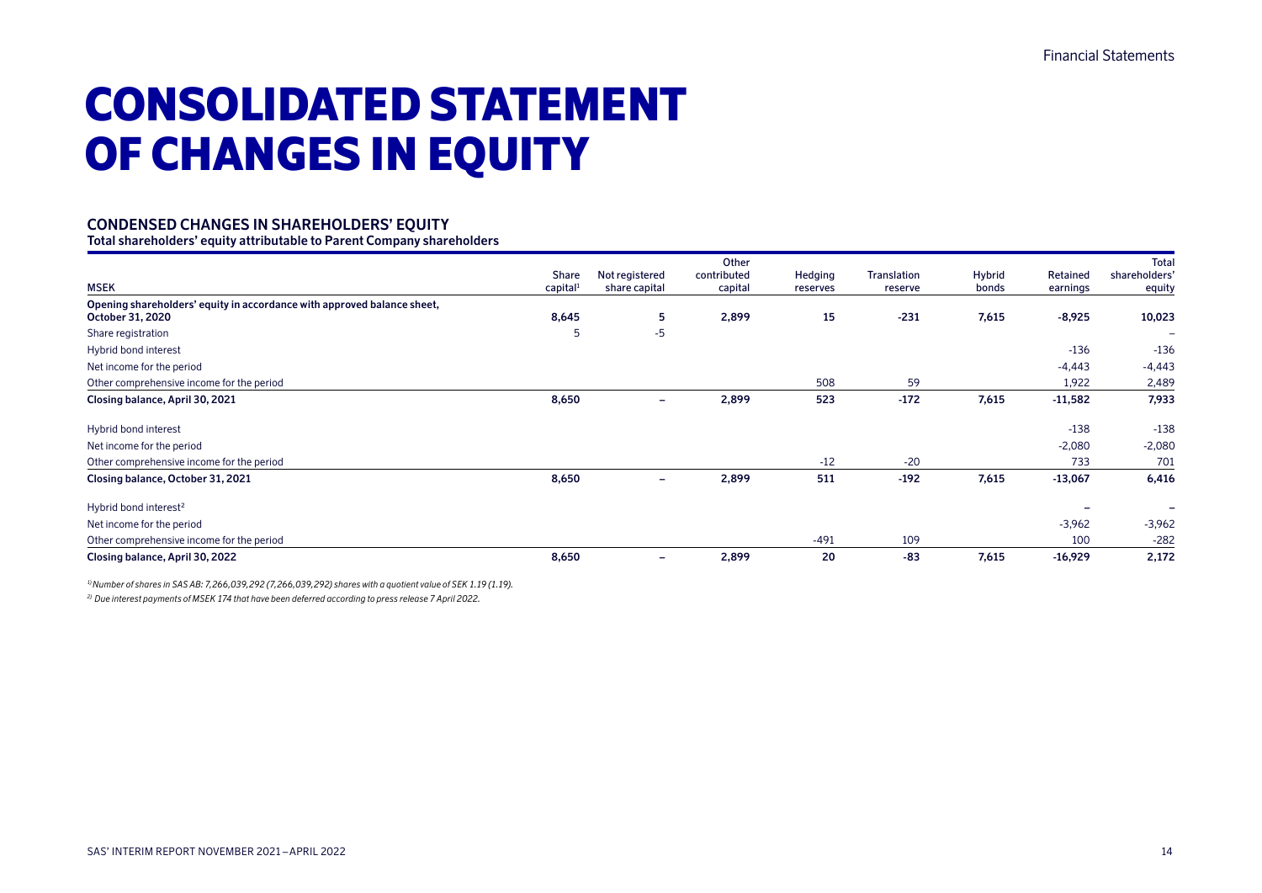# CONSOLIDATED STATEMENT OF CHANGES IN EQUITY

### **CONDENSED CHANGES IN SHAREHOLDERS' EQUITY**

**Total shareholders' equity attributable to Parent Company shareholders**

|                                                                                             | Share                | Not registered           | Other<br>contributed | Hedging  | Translation | Hybrid | Retained  | <b>Total</b><br>shareholders' |
|---------------------------------------------------------------------------------------------|----------------------|--------------------------|----------------------|----------|-------------|--------|-----------|-------------------------------|
| <b>MSEK</b>                                                                                 | capital <sup>1</sup> | share capital            | capital              | reserves | reserve     | bonds  | earnings  | equity                        |
| Opening shareholders' equity in accordance with approved balance sheet,<br>October 31, 2020 | 8,645                | 5                        | 2,899                | 15       | $-231$      | 7,615  | $-8,925$  | 10,023                        |
| Share registration                                                                          | 5                    | $-5$                     |                      |          |             |        |           | $\overline{\phantom{a}}$      |
| Hybrid bond interest                                                                        |                      |                          |                      |          |             |        | $-136$    | $-136$                        |
| Net income for the period                                                                   |                      |                          |                      |          |             |        | $-4,443$  | $-4,443$                      |
| Other comprehensive income for the period                                                   |                      |                          |                      | 508      | 59          |        | 1,922     | 2,489                         |
| Closing balance, April 30, 2021                                                             | 8,650                | $\overline{\phantom{0}}$ | 2,899                | 523      | $-172$      | 7,615  | $-11,582$ | 7,933                         |
| Hybrid bond interest                                                                        |                      |                          |                      |          |             |        | $-138$    | $-138$                        |
| Net income for the period                                                                   |                      |                          |                      |          |             |        | $-2,080$  | $-2,080$                      |
| Other comprehensive income for the period                                                   |                      |                          |                      | $-12$    | $-20$       |        | 733       | 701                           |
| Closing balance, October 31, 2021                                                           | 8,650                | $\overline{\phantom{a}}$ | 2,899                | 511      | $-192$      | 7,615  | $-13,067$ | 6,416                         |
| Hybrid bond interest <sup>2</sup>                                                           |                      |                          |                      |          |             |        |           |                               |
| Net income for the period                                                                   |                      |                          |                      |          |             |        | $-3,962$  | $-3,962$                      |
| Other comprehensive income for the period                                                   |                      |                          |                      | $-491$   | 109         |        | 100       | $-282$                        |
| Closing balance, April 30, 2022                                                             | 8,650                | $\overline{\phantom{a}}$ | 2,899                | 20       | $-83$       | 7,615  | $-16,929$ | 2,172                         |

*1) Number of shares in SAS AB: 7,266,039,292 (7,266,039,292) shares with a quotient value of SEK 1.19 (1.19).*

*2) Due interest payments of MSEK 174 that have been deferred according to press release 7 April 2022.*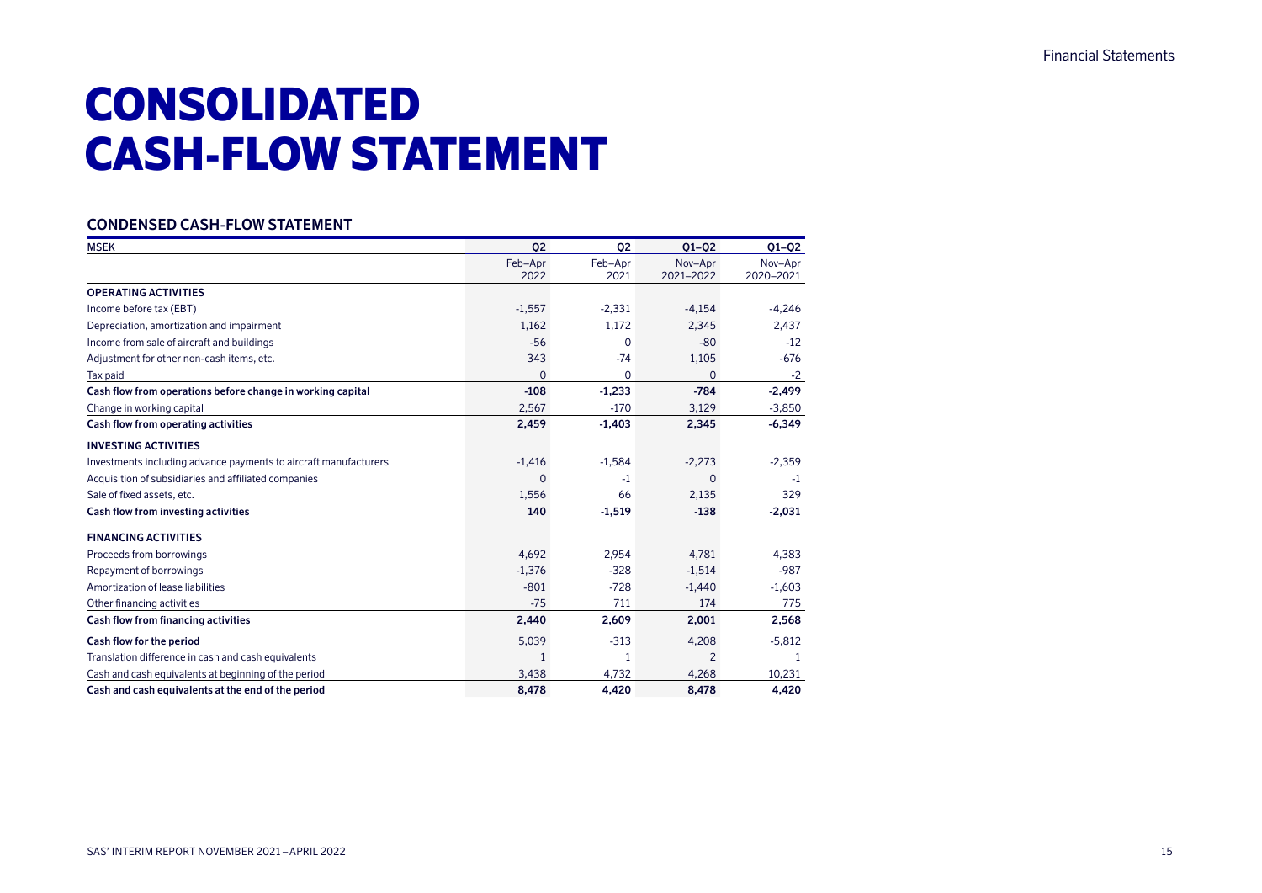# CONSOLIDATED CASH-FLOW STATEMENT

### **CONDENSED CASH-FLOW STATEMENT**

| <b>MSEK</b>                                                      | 02          | Q <sub>2</sub> | $Q1-Q2$        | $Q1-Q2$   |
|------------------------------------------------------------------|-------------|----------------|----------------|-----------|
|                                                                  | Feb-Apr     | Feb-Apr        | Nov-Apr        | Nov-Apr   |
|                                                                  | 2022        | 2021           | 2021-2022      | 2020-2021 |
| <b>OPERATING ACTIVITIES</b>                                      |             |                |                |           |
| Income before tax (EBT)                                          | $-1,557$    | $-2,331$       | $-4.154$       | $-4,246$  |
| Depreciation, amortization and impairment                        | 1,162       | 1,172          | 2,345          | 2,437     |
| Income from sale of aircraft and buildings                       | $-56$       | 0              | $-80$          | $-12$     |
| Adjustment for other non-cash items, etc.                        | 343         | $-74$          | 1,105          | $-676$    |
| Tax paid                                                         | $\mathbf 0$ | 0              | $\Omega$       | $-2$      |
| Cash flow from operations before change in working capital       | $-108$      | $-1,233$       | $-784$         | $-2,499$  |
| Change in working capital                                        | 2,567       | $-170$         | 3,129          | $-3,850$  |
| Cash flow from operating activities                              | 2,459       | $-1,403$       | 2,345          | $-6,349$  |
| <b>INVESTING ACTIVITIES</b>                                      |             |                |                |           |
| Investments including advance payments to aircraft manufacturers | $-1,416$    | $-1,584$       | $-2,273$       | $-2,359$  |
| Acquisition of subsidiaries and affiliated companies             | $\mathbf 0$ | $-1$           | 0              | $-1$      |
| Sale of fixed assets, etc.                                       | 1,556       | 66             | 2,135          | 329       |
| Cash flow from investing activities                              | 140         | $-1,519$       | $-138$         | $-2,031$  |
| <b>FINANCING ACTIVITIES</b>                                      |             |                |                |           |
| Proceeds from borrowings                                         | 4,692       | 2,954          | 4,781          | 4,383     |
| Repayment of borrowings                                          | $-1,376$    | $-328$         | $-1,514$       | $-987$    |
| Amortization of lease liabilities                                | $-801$      | $-728$         | $-1,440$       | $-1,603$  |
| Other financing activities                                       | $-75$       | 711            | 174            | 775       |
| Cash flow from financing activities                              | 2,440       | 2,609          | 2,001          | 2,568     |
| Cash flow for the period                                         | 5,039       | $-313$         | 4,208          | $-5,812$  |
| Translation difference in cash and cash equivalents              | 1           | 1              | $\overline{2}$ | -1        |
| Cash and cash equivalents at beginning of the period             | 3,438       | 4,732          | 4,268          | 10,231    |
| Cash and cash equivalents at the end of the period               | 8.478       | 4.420          | 8.478          | 4.420     |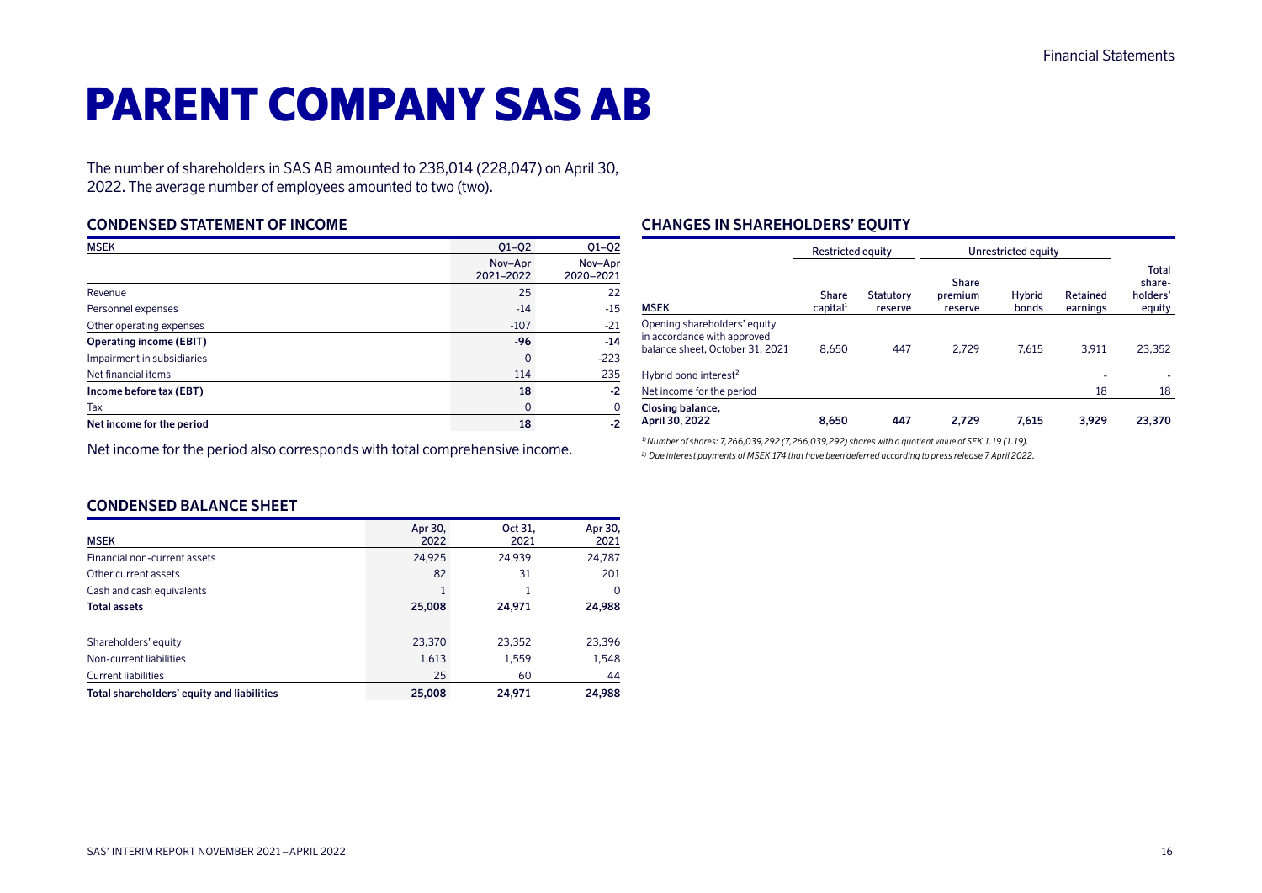# PARENT COMPANY SAS AB

The number of shareholders in SAS AB amounted to 238,014 (228,047) on April 30, 2022. The average number of employees amounted to two (two).

### **CONDENSED STATEMENT OF INCOME**

| <b>MSEK</b>                    | $Q1 - Q2$            | $Q1-Q2$              |
|--------------------------------|----------------------|----------------------|
|                                | Nov-Apr<br>2021-2022 | Nov-Apr<br>2020-2021 |
| Revenue                        | 25                   | 22                   |
| Personnel expenses             | $-14$                | $-15$                |
| Other operating expenses       | $-107$               | $-21$                |
| <b>Operating income (EBIT)</b> | $-96$                | $-14$                |
| Impairment in subsidiaries     | $\Omega$             | $-223$               |
| Net financial items            | 114                  | 235                  |
| Income before tax (EBT)        | 18                   | $-2$                 |
| Tax                            | $\Omega$             | O                    |
| Net income for the period      | 18                   | -2                   |

Net income for the period also corresponds with total comprehensive income.

# **CHANGES IN SHAREHOLDERS' EQUITY**

|                                                                                                | <b>Restricted equity</b>      |                      |                             |                 | Unrestricted equity  |                                       |  |  |  |
|------------------------------------------------------------------------------------------------|-------------------------------|----------------------|-----------------------------|-----------------|----------------------|---------------------------------------|--|--|--|
| <b>MSEK</b>                                                                                    | Share<br>capital <sup>1</sup> | Statutory<br>reserve | Share<br>premium<br>reserve | Hybrid<br>bonds | Retained<br>earnings | Total<br>share-<br>holders'<br>equity |  |  |  |
| Opening shareholders' equity<br>in accordance with approved<br>balance sheet, October 31, 2021 | 8.650                         | 447                  | 2.729                       | 7.615           | 3.911                | 23,352                                |  |  |  |
| Hybrid bond interest <sup>2</sup>                                                              |                               |                      |                             |                 | ۰                    |                                       |  |  |  |
| Net income for the period                                                                      |                               |                      |                             |                 | 18                   | 18                                    |  |  |  |
| Closing balance,<br>April 30, 2022                                                             | 8.650                         | 447                  | 2.729                       | 7.615           | 3.929                | 23,370                                |  |  |  |

*1) Number of shares: 7,266,039,292 (7,266,039,292) shares with a quotient value of SEK 1.19 (1.19). 2) Due interest payments of MSEK 174 that have been deferred according to press release 7 April 2022.*

# **CONDENSED BALANCE SHEET**

| <b>MSEK</b>                                | Apr 30,<br>2022 | Oct 31,<br>2021 | Apr 30,<br>2021 |
|--------------------------------------------|-----------------|-----------------|-----------------|
| Financial non-current assets               | 24,925          | 24,939          | 24,787          |
| Other current assets                       | 82              | 31              | 201             |
| Cash and cash equivalents                  |                 |                 | 0               |
| <b>Total assets</b>                        | 25,008          | 24,971          | 24,988          |
| Shareholders' equity                       | 23,370          | 23,352          | 23,396          |
| Non-current liabilities                    | 1,613           | 1,559           | 1,548           |
| <b>Current liabilities</b>                 | 25              | 60              | 44              |
| Total shareholders' equity and liabilities | 25,008          | 24,971          | 24,988          |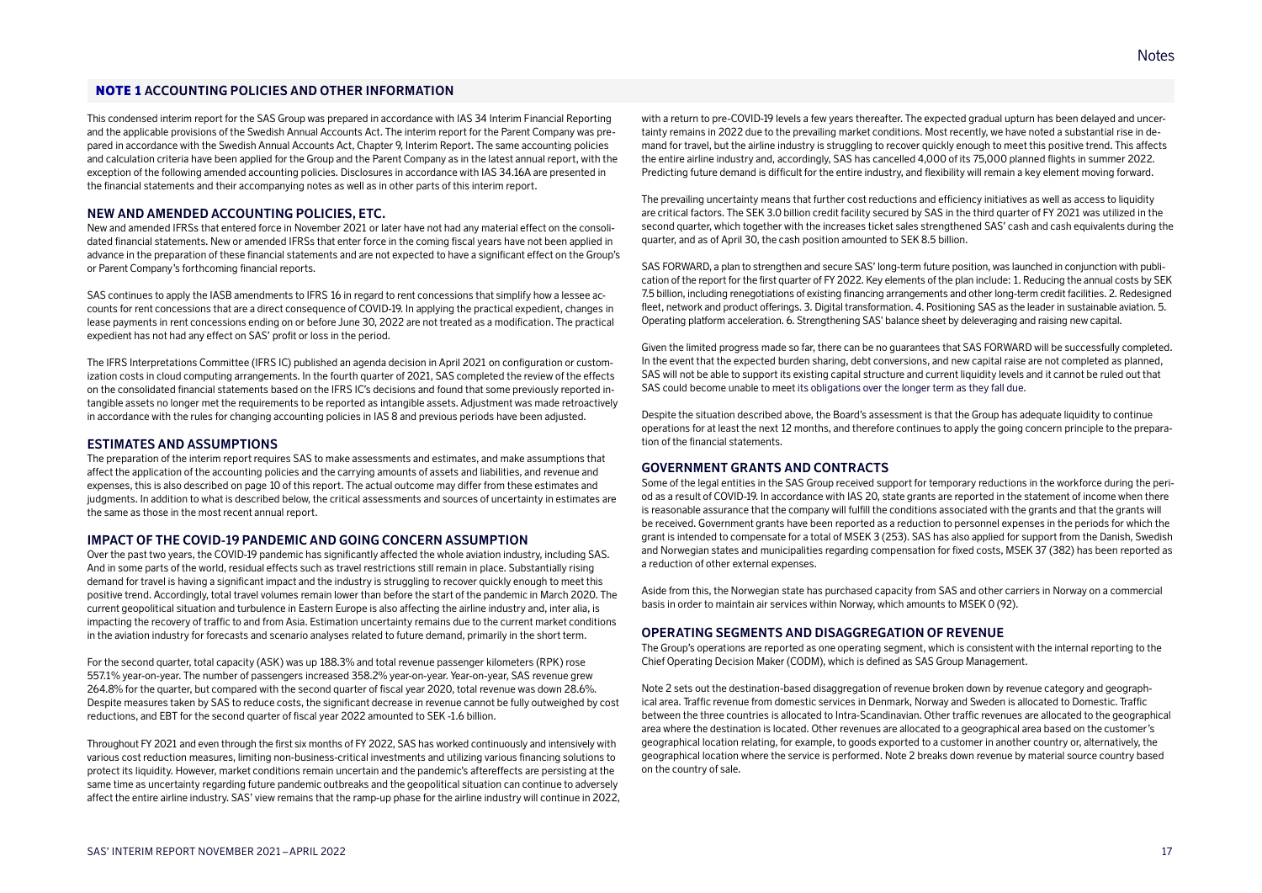NOTE 1 **ACCOUNTING POLICIES AND OTHER INFORMATION**

This condensed interim report for the SAS Group was prepared in accordance with IAS 34 Interim Financial Reporting and the applicable provisions of the Swedish Annual Accounts Act. The interim report for the Parent Company was prepared in accordance with the Swedish Annual Accounts Act, Chapter 9, Interim Report. The same accounting policies and calculation criteria have been applied for the Group and the Parent Company as in the latest annual report, with the exception of the following amended accounting policies. Disclosures in accordance with IAS 34.16A are presented in the financial statements and their accompanying notes as well as in other parts of this interim report.

#### **NEW AND AMENDED ACCOUNTING POLICIES, ETC.**

New and amended IFRSs that entered force in November 2021 or later have not had any material effect on the consolidated financial statements. New or amended IFRSs that enter force in the coming fiscal years have not been applied in advance in the preparation of these financial statements and are not expected to have a significant effect on the Group's or Parent Company's forthcoming financial reports.

SAS continues to apply the IASB amendments to IFRS 16 in regard to rent concessions that simplify how a lessee accounts for rent concessions that are a direct consequence of COVID-19. In applying the practical expedient, changes in lease payments in rent concessions ending on or before June 30, 2022 are not treated as a modification. The practical expedient has not had any effect on SAS' profit or loss in the period.

The IFRS Interpretations Committee (IFRS IC) published an agenda decision in April 2021 on configuration or customization costs in cloud computing arrangements. In the fourth quarter of 2021, SAS completed the review of the effects on the consolidated financial statements based on the IFRS IC's decisions and found that some previously reported intangible assets no longer met the requirements to be reported as intangible assets. Adjustment was made retroactively in accordance with the rules for changing accounting policies in IAS 8 and previous periods have been adjusted.

#### **ESTIMATES AND ASSUMPTIONS**

The preparation of the interim report requires SAS to make assessments and estimates, and make assumptions that affect the application of the accounting policies and the carrying amounts of assets and liabilities, and revenue and expenses, this is also described on page 10 of this report. The actual outcome may differ from these estimates and judgments. In addition to what is described below, the critical assessments and sources of uncertainty in estimates are the same as those in the most recent annual report.

#### **IMPACT OF THE COVID-19 PANDEMIC AND GOING CONCERN ASSUMPTION**

Over the past two years, the COVID-19 pandemic has significantly affected the whole aviation industry, including SAS. And in some parts of the world, residual effects such as travel restrictions still remain in place. Substantially rising demand for travel is having a significant impact and the industry is struggling to recover quickly enough to meet this positive trend. Accordingly, total travel volumes remain lower than before the start of the pandemic in March 2020. The current geopolitical situation and turbulence in Eastern Europe is also affecting the airline industry and, inter alia, is impacting the recovery of traffic to and from Asia. Estimation uncertainty remains due to the current market conditions in the aviation industry for forecasts and scenario analyses related to future demand, primarily in the short term.

For the second quarter, total capacity (ASK) was up 188.3% and total revenue passenger kilometers (RPK) rose 557.1% year-on-year. The number of passengers increased 358.2% year-on-year. Year-on-year, SAS revenue grew 264.8% for the quarter, but compared with the second quarter of fiscal year 2020, total revenue was down 28.6%. Despite measures taken by SAS to reduce costs, the significant decrease in revenue cannot be fully outweighed by cost reductions, and EBT for the second quarter of fiscal year 2022 amounted to SEK -1.6 billion.

Throughout FY 2021 and even through the first six months of FY 2022, SAS has worked continuously and intensively with various cost reduction measures, limiting non-business-critical investments and utilizing various financing solutions to protect its liquidity. However, market conditions remain uncertain and the pandemic's aftereffects are persisting at the same time as uncertainty regarding future pandemic outbreaks and the geopolitical situation can continue to adversely affect the entire airline industry. SAS' view remains that the ramp-up phase for the airline industry will continue in 2022, with a return to pre-COVID-19 levels a few years thereafter. The expected gradual upturn has been delayed and uncertainty remains in 2022 due to the prevailing market conditions. Most recently, we have noted a substantial rise in demand for travel, but the airline industry is struggling to recover quickly enough to meet this positive trend. This affects the entire airline industry and, accordingly, SAS has cancelled 4,000 of its 75,000 planned flights in summer 2022. Predicting future demand is difficult for the entire industry, and flexibility will remain a key element moving forward.

The prevailing uncertainty means that further cost reductions and efficiency initiatives as well as access to liquidity are critical factors. The SEK 3.0 billion credit facility secured by SAS in the third quarter of FY 2021 was utilized in the second quarter, which together with the increases ticket sales strengthened SAS' cash and cash equivalents during the quarter, and as of April 30, the cash position amounted to SEK 8.5 billion.

SAS FORWARD, a plan to strengthen and secure SAS' long-term future position, was launched in conjunction with publication of the report for the first quarter of FY 2022. Key elements of the plan include: 1. Reducing the annual costs by SEK 7.5 billion, including renegotiations of existing financing arrangements and other long-term credit facilities. 2. Redesigned fleet, network and product offerings. 3. Digital transformation. 4. Positioning SAS as the leader in sustainable aviation. 5. Operating platform acceleration. 6. Strengthening SAS' balance sheet by deleveraging and raising new capital.

Given the limited progress made so far, there can be no guarantees that SAS FORWARD will be successfully completed. In the event that the expected burden sharing, debt conversions, and new capital raise are not completed as planned, SAS will not be able to support its existing capital structure and current liquidity levels and it cannot be ruled out that SAS could become unable to meet its obligations over the longer term as they fall due.

Despite the situation described above, the Board's assessment is that the Group has adequate liquidity to continue operations for at least the next 12 months, and therefore continues to apply the going concern principle to the preparation of the financial statements.

#### **GOVERNMENT GRANTS AND CONTRACTS**

Some of the legal entities in the SAS Group received support for temporary reductions in the workforce during the period as a result of COVID-19. In accordance with IAS 20, state grants are reported in the statement of income when there is reasonable assurance that the company will fulfill the conditions associated with the grants and that the grants will be received. Government grants have been reported as a reduction to personnel expenses in the periods for which the grant is intended to compensate for a total of MSEK 3 (253). SAS has also applied for support from the Danish, Swedish and Norwegian states and municipalities regarding compensation for fixed costs, MSEK 37 (382) has been reported as a reduction of other external expenses.

Aside from this, the Norwegian state has purchased capacity from SAS and other carriers in Norway on a commercial basis in order to maintain air services within Norway, which amounts to MSEK 0 (92).

#### **OPERATING SEGMENTS AND DISAGGREGATION OF REVENUE**

The Group's operations are reported as one operating segment, which is consistent with the internal reporting to the Chief Operating Decision Maker (CODM), which is defined as SAS Group Management.

Note 2 sets out the destination-based disaggregation of revenue broken down by revenue category and geographical area. Traffic revenue from domestic services in Denmark, Norway and Sweden is allocated to Domestic. Traffic between the three countries is allocated to Intra-Scandinavian. Other traffic revenues are allocated to the geographical area where the destination is located. Other revenues are allocated to a geographical area based on the customer's geographical location relating, for example, to goods exported to a customer in another country or, alternatively, the geographical location where the service is performed. Note 2 breaks down revenue by material source country based on the country of sale.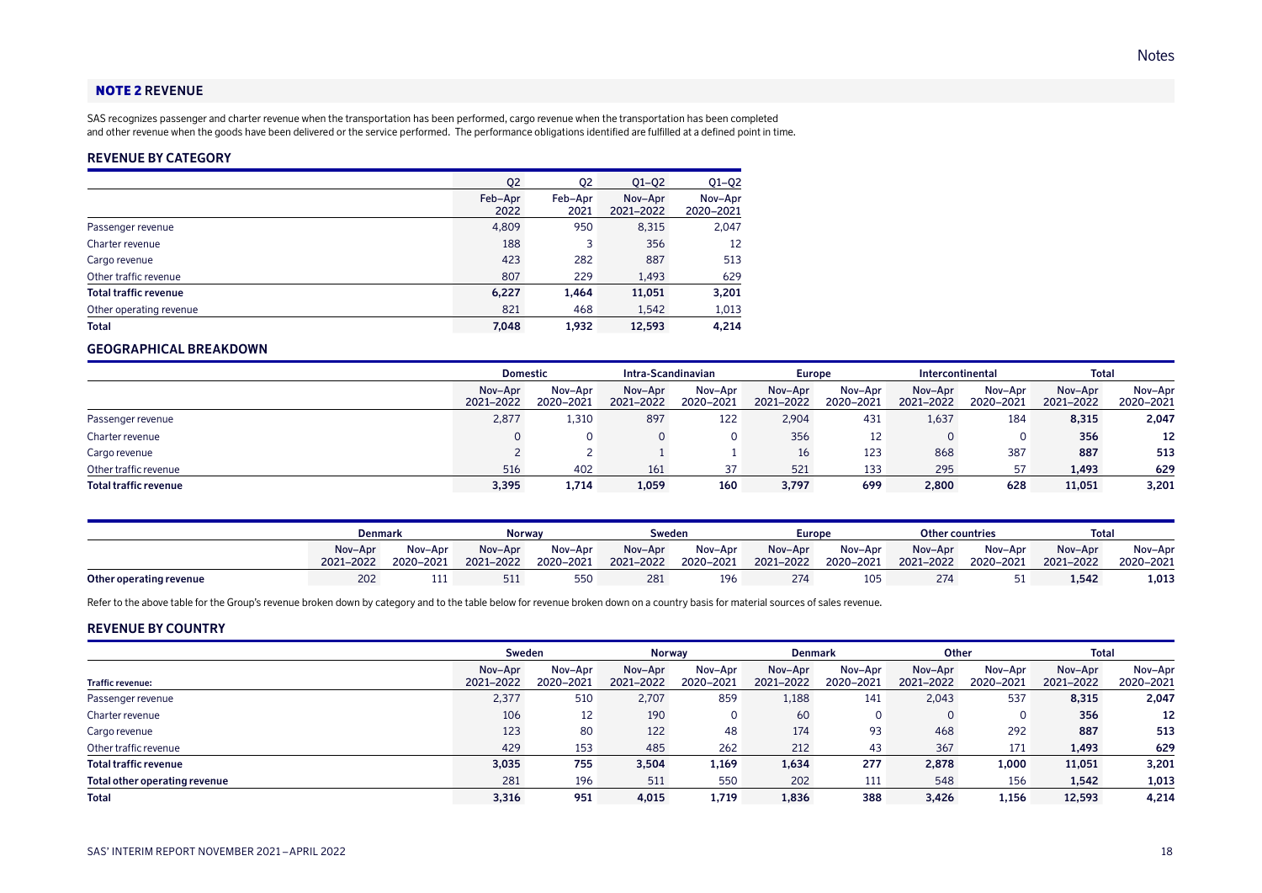#### NOTE 2 **REVENUE**

SAS recognizes passenger and charter revenue when the transportation has been performed, cargo revenue when the transportation has been completed and other revenue when the goods have been delivered or the service performed. The performance obligations identified are fulfilled at a defined point in time.

### **REVENUE BY CATEGORY**

|                              | Q <sub>2</sub>  | Q <sub>2</sub>  | $Q1 - Q2$            | $Q1-Q2$              |
|------------------------------|-----------------|-----------------|----------------------|----------------------|
|                              | Feb-Apr<br>2022 | Feb-Apr<br>2021 | Nov-Apr<br>2021-2022 | Nov-Apr<br>2020-2021 |
| Passenger revenue            | 4,809           | 950             | 8,315                | 2,047                |
| Charter revenue              | 188             | 3               | 356                  | 12                   |
| Cargo revenue                | 423             | 282             | 887                  | 513                  |
| Other traffic revenue        | 807             | 229             | 1,493                | 629                  |
| <b>Total traffic revenue</b> | 6,227           | 1,464           | 11,051               | 3,201                |
| Other operating revenue      | 821             | 468             | 1,542                | 1,013                |
| <b>Total</b>                 | 7.048           | 1.932           | 12.593               | 4.214                |

### **GEOGRAPHICAL BREAKDOWN**

|                       | <b>Domestic</b>      |                      | Intra-Scandinavian   |                      |                      | <b>Europe</b>        |                      | Total<br>Intercontinental |                      |                      |
|-----------------------|----------------------|----------------------|----------------------|----------------------|----------------------|----------------------|----------------------|---------------------------|----------------------|----------------------|
|                       | Nov-Apr<br>2021-2022 | Nov-Apr<br>2020-2021 | Nov-Apr<br>2021-2022 | Nov-Apr<br>2020-2021 | Nov-Apr<br>2021-2022 | Nov-Apr<br>2020-2021 | Nov-Apr<br>2021-2022 | Nov-Apr<br>2020-2021      | Nov-Apr<br>2021-2022 | Nov-Apr<br>2020-2021 |
| Passenger revenue     | 2,877                | 1,310                | 897                  | 122                  | 2,904                | 431                  | 1,637                | 184                       | 8,315                | 2,047                |
| Charter revenue       |                      |                      |                      |                      | 356                  | 12                   |                      |                           | 356                  | 12                   |
| Cargo revenue         |                      |                      |                      |                      | 16                   | 123                  | 868                  | 387                       | 887                  | 513                  |
| Other traffic revenue | 516                  | 402                  | 161                  | 37                   | 521                  | 133                  | 295                  | 57                        | 1,493                | 629                  |
| Total traffic revenue | 3,395                | 1,714                | 1,059                | 160                  | 3,797                | 699                  | 2,800                | 628                       | 11,051               | 3,201                |

|                         | Denmark              |                      | Norway               |                      | Sweden               |                      | Europe               |                      | <b>Other countries</b> |                      | Total                |                      |
|-------------------------|----------------------|----------------------|----------------------|----------------------|----------------------|----------------------|----------------------|----------------------|------------------------|----------------------|----------------------|----------------------|
|                         | Nov-Apr<br>2021-2022 | Nov-Apr<br>2020-2021 | Nov-Apr<br>2021-2022 | Nov-Apr<br>2020-2021 | Nov-Apr<br>2021-2022 | Nov-Apr<br>2020-2021 | Nov-Apr<br>2021-2022 | Nov-Apr<br>2020-2021 | Nov-Apr<br>2021-2022   | Nov-Apr<br>2020-2021 | Nov-Apr<br>2021-2022 | Nov-Apr<br>2020-2021 |
| Other operating revenue | 202                  | .                    | 511                  | 550                  | 281                  | 196                  |                      | 105                  | 274                    |                      | 1.542                | 1,013                |

Refer to the above table for the Group's revenue broken down by category and to the table below for revenue broken down on a country basis for material sources of sales revenue.

#### **REVENUE BY COUNTRY**

|                               | Sweden               |                      | <b>Norway</b>        |                      | <b>Denmark</b>       |                      | Other                |                      | <b>Total</b>         |                      |
|-------------------------------|----------------------|----------------------|----------------------|----------------------|----------------------|----------------------|----------------------|----------------------|----------------------|----------------------|
| <b>Traffic revenue:</b>       | Nov-Apr<br>2021-2022 | Nov-Apr<br>2020-2021 | Nov-Apr<br>2021-2022 | Nov-Apr<br>2020-2021 | Nov-Apr<br>2021-2022 | Nov-Apr<br>2020-2021 | Nov-Apr<br>2021-2022 | Nov-Apr<br>2020-2021 | Nov-Apr<br>2021-2022 | Nov-Apr<br>2020-2021 |
| Passenger revenue             | 2,377                | 510                  | 2,707                | 859                  | 1,188                | 141                  | 2,043                | 537                  | 8,315                | 2,047                |
| Charter revenue               | 106                  | 12                   | 190                  | 0                    | 60                   | 0                    |                      |                      | 356                  | 12                   |
| Cargo revenue                 | 123                  | 80                   | 122                  | 48                   | 174                  | 93                   | 468                  | 292                  | 887                  | 513                  |
| Other traffic revenue         | 429                  | 153                  | 485                  | 262                  | 212                  | 43                   | 367                  | 171                  | 1,493                | 629                  |
| Total traffic revenue         | 3,035                | 755                  | 3,504                | 1,169                | 1,634                | 277                  | 2,878                | 1,000                | 11,051               | 3,201                |
| Total other operating revenue | 281                  | 196                  | 511                  | 550                  | 202                  | 111                  | 548                  | 156                  | 1,542                | 1,013                |
| <b>Total</b>                  | 3,316                | 951                  | 4.015                | 1.719                | 1,836                | 388                  | 3.426                | 1,156                | 12,593               | 4,214                |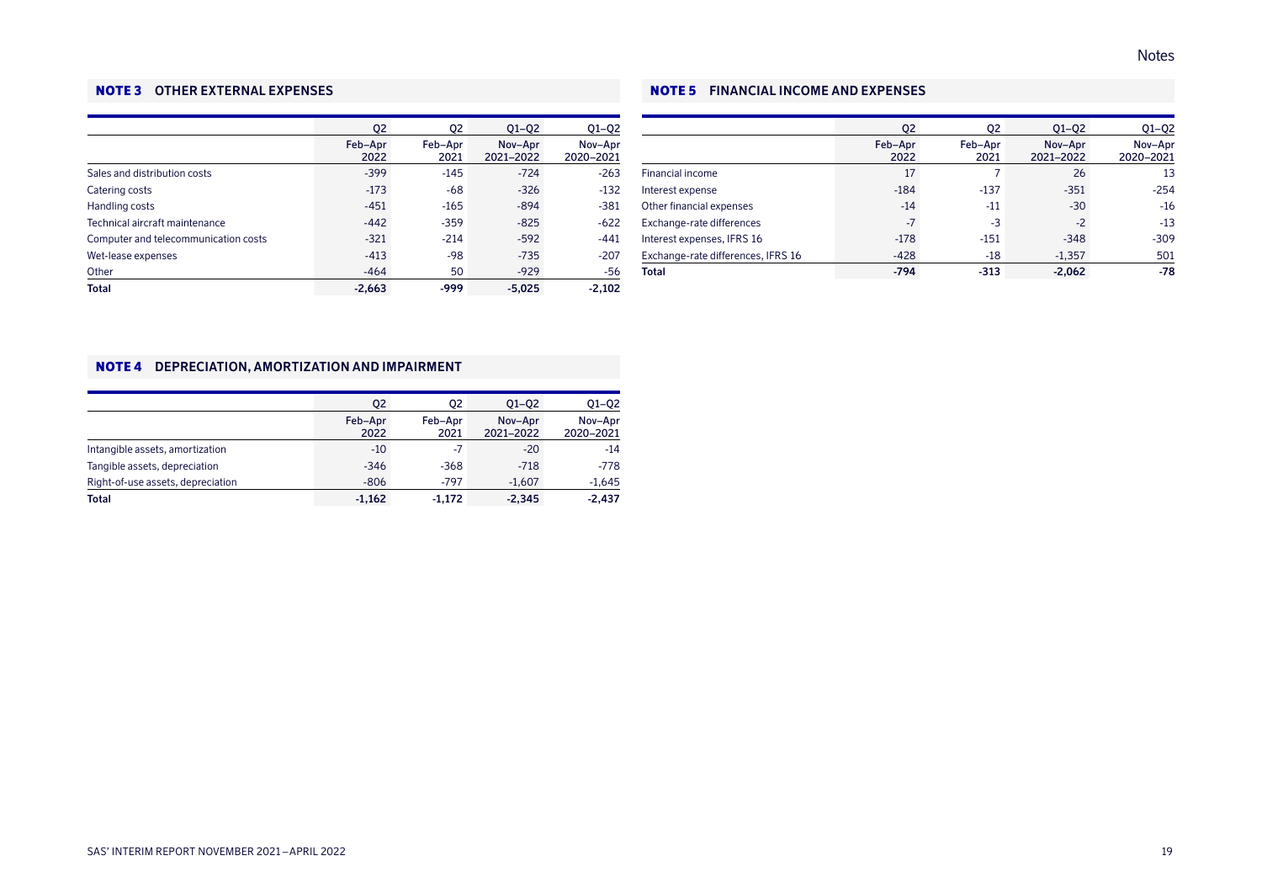### NOTE 3 **OTHER EXTERNAL EXPENSES**

|                                      | 02              | 02              | $Q1 - Q2$            | $Q1-Q2$              |
|--------------------------------------|-----------------|-----------------|----------------------|----------------------|
|                                      | Feb-Apr<br>2022 | Feb-Apr<br>2021 | Nov-Apr<br>2021-2022 | Nov-Apr<br>2020-2021 |
| Sales and distribution costs         | $-399$          | $-145$          | $-724$               | $-263$               |
| Catering costs                       | $-173$          | $-68$           | $-326$               | $-132$               |
| Handling costs                       | $-451$          | $-165$          | $-894$               | $-381$               |
| Technical aircraft maintenance       | $-442$          | $-359$          | $-825$               | $-622$               |
| Computer and telecommunication costs | $-321$          | $-214$          | $-592$               | $-441$               |
| Wet-lease expenses                   | $-413$          | $-98$           | $-735$               | $-207$               |
| Other                                | $-464$          | 50              | $-929$               | $-56$                |
| <b>Total</b>                         | $-2.663$        | -999            | $-5.025$             | $-2.102$             |

### NOTE 5 **FINANCIAL INCOME AND EXPENSES**

|                                    | 02              | 02              | $Q1 - Q2$            | $Q1-Q2$              |
|------------------------------------|-----------------|-----------------|----------------------|----------------------|
|                                    | Feb-Apr<br>2022 | Feb-Apr<br>2021 | Nov-Apr<br>2021-2022 | Nov-Apr<br>2020-2021 |
| Financial income                   | 17              |                 | 26                   | 13                   |
| Interest expense                   | $-184$          | $-137$          | $-351$               | $-254$               |
| Other financial expenses           | $-14$           | $-11$           | $-30$                | $-16$                |
| Exchange-rate differences          | $-7$            | -3              | $-2$                 | $-13$                |
| Interest expenses, IFRS 16         | $-178$          | $-151$          | $-348$               | $-309$               |
| Exchange-rate differences, IFRS 16 | $-428$          | $-18$           | $-1,357$             | 501                  |
| <b>Total</b>                       | $-794$          | $-313$          | $-2.062$             | $-78$                |

### NOTE 4 **DEPRECIATION, AMORTIZATION AND IMPAIRMENT**

|                                   | Q <sub>2</sub>  | Q2              | $Q1 - Q2$            | $Q1-Q2$              |
|-----------------------------------|-----------------|-----------------|----------------------|----------------------|
|                                   | Feb-Apr<br>2022 | Feb-Apr<br>2021 | Nov-Apr<br>2021-2022 | Nov-Apr<br>2020-2021 |
| Intangible assets, amortization   | $-10$           | -7              | $-20$                | $-14$                |
| Tangible assets, depreciation     | $-346$          | $-368$          | $-718$               | $-778$               |
| Right-of-use assets, depreciation | $-806$          | $-797$          | $-1.607$             | $-1,645$             |
| <b>Total</b>                      | $-1,162$        | $-1.172$        | $-2,345$             | $-2.437$             |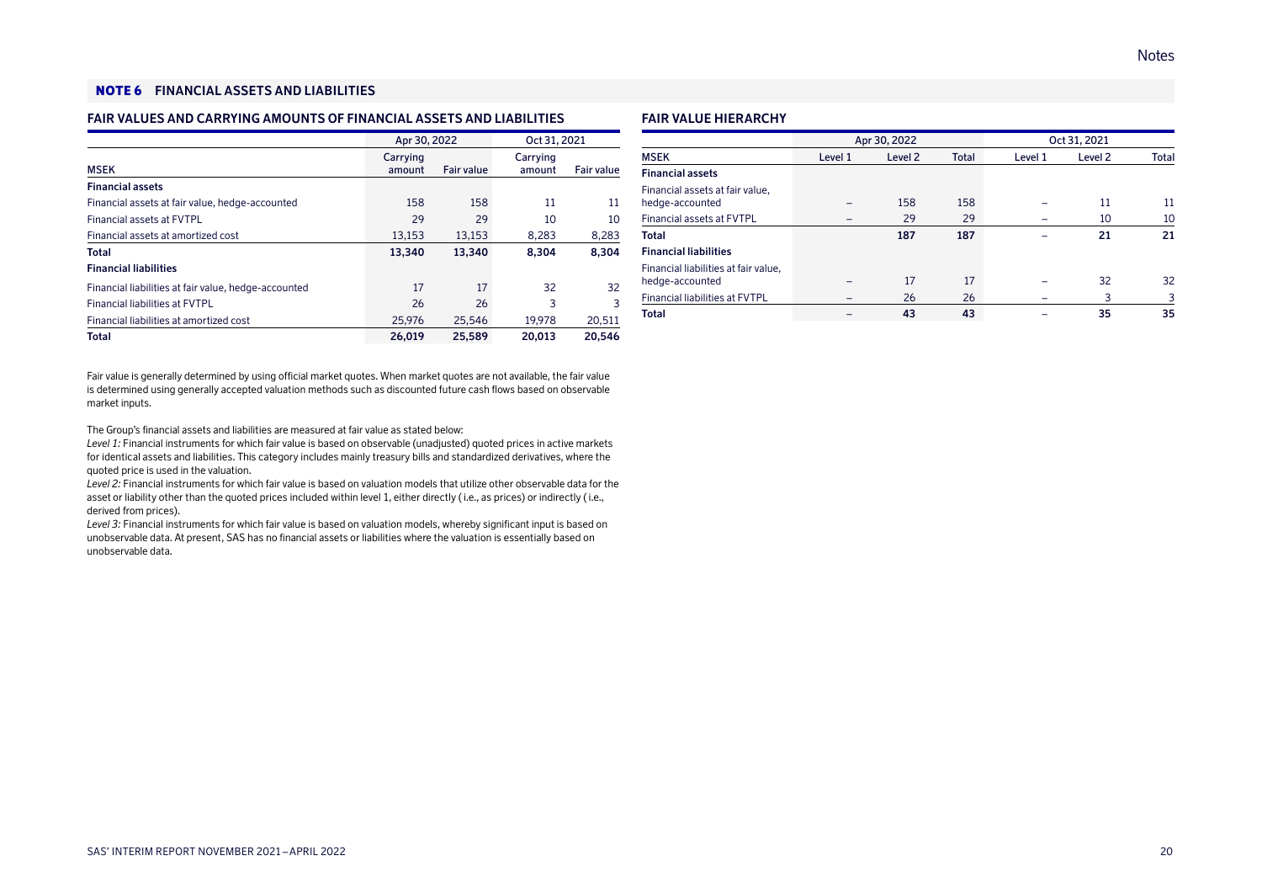### NOTE 6 **FINANCIAL ASSETS AND LIABILITIES**

### **FAIR VALUES AND CARRYING AMOUNTS OF FINANCIAL ASSETS AND LIABILITIES**

|                                                      | Apr 30, 2022       |            | Oct 31, 2021       |            |
|------------------------------------------------------|--------------------|------------|--------------------|------------|
| <b>MSEK</b>                                          | Carrying<br>amount | Fair value | Carrying<br>amount | Fair value |
| <b>Financial assets</b>                              |                    |            |                    |            |
| Financial assets at fair value, hedge-accounted      | 158                | 158        | 11                 | 11         |
| Financial assets at FVTPL                            | 29                 | 29         | 10                 | 10         |
| Financial assets at amortized cost                   | 13,153             | 13,153     | 8,283              | 8,283      |
| Total                                                | 13.340             | 13.340     | 8.304              | 8.304      |
| <b>Financial liabilities</b>                         |                    |            |                    |            |
| Financial liabilities at fair value, hedge-accounted | 17                 | 17         | 32                 | 32         |
| <b>Financial liabilities at FVTPL</b>                | 26                 | 26         | 3                  | 3          |
| Financial liabilities at amortized cost              | 25.976             | 25.546     | 19.978             | 20,511     |
| <b>Total</b>                                         | 26,019             | 25.589     | 20,013             | 20.546     |

Fair value is generally determined by using official market quotes. When market quotes are not available, the fair value is determined using generally accepted valuation methods such as discounted future cash flows based on observable market inputs.

The Group's financial assets and liabilities are measured at fair value as stated below:

*Level 1:* Financial instruments for which fair value is based on observable (unadjusted) quoted prices in active markets for identical assets and liabilities. This category includes mainly treasury bills and standardized derivatives, where the quoted price is used in the valuation.

*Level 2:* Financial instruments for which fair value is based on valuation models that utilize other observable data for the asset or liability other than the quoted prices included within level 1, either directly ( i.e., as prices) or indirectly ( i.e., derived from prices).

*Level 3:* Financial instruments for which fair value is based on valuation models, whereby significant input is based on unobservable data. At present, SAS has no financial assets or liabilities where the valuation is essentially based on unobservable data.

### **FAIR VALUE HIERARCHY**

|                                                         |         | Apr 30, 2022       |              |         | Oct 31, 2021       |       |
|---------------------------------------------------------|---------|--------------------|--------------|---------|--------------------|-------|
| <b>MSEK</b>                                             | Level 1 | Level <sub>2</sub> | <b>Total</b> | Level 1 | Level <sub>2</sub> | Total |
| <b>Financial assets</b>                                 |         |                    |              |         |                    |       |
| Financial assets at fair value,<br>hedge-accounted      |         | 158                | 158          |         | 11                 | 11    |
| <b>Financial assets at FVTPL</b>                        |         | 29                 | 29           |         | 10                 | 10    |
| Total                                                   |         | 187                | 187          |         | 21                 | 21    |
| <b>Financial liabilities</b>                            |         |                    |              |         |                    |       |
| Financial liabilities at fair value,<br>hedge-accounted |         | 17                 | 17           |         | 32                 | 32    |
| <b>Financial liabilities at FVTPL</b>                   |         | 26                 | 26           |         | 3                  | 3     |
| Total                                                   |         | 43                 | 43           |         | 35                 | 35    |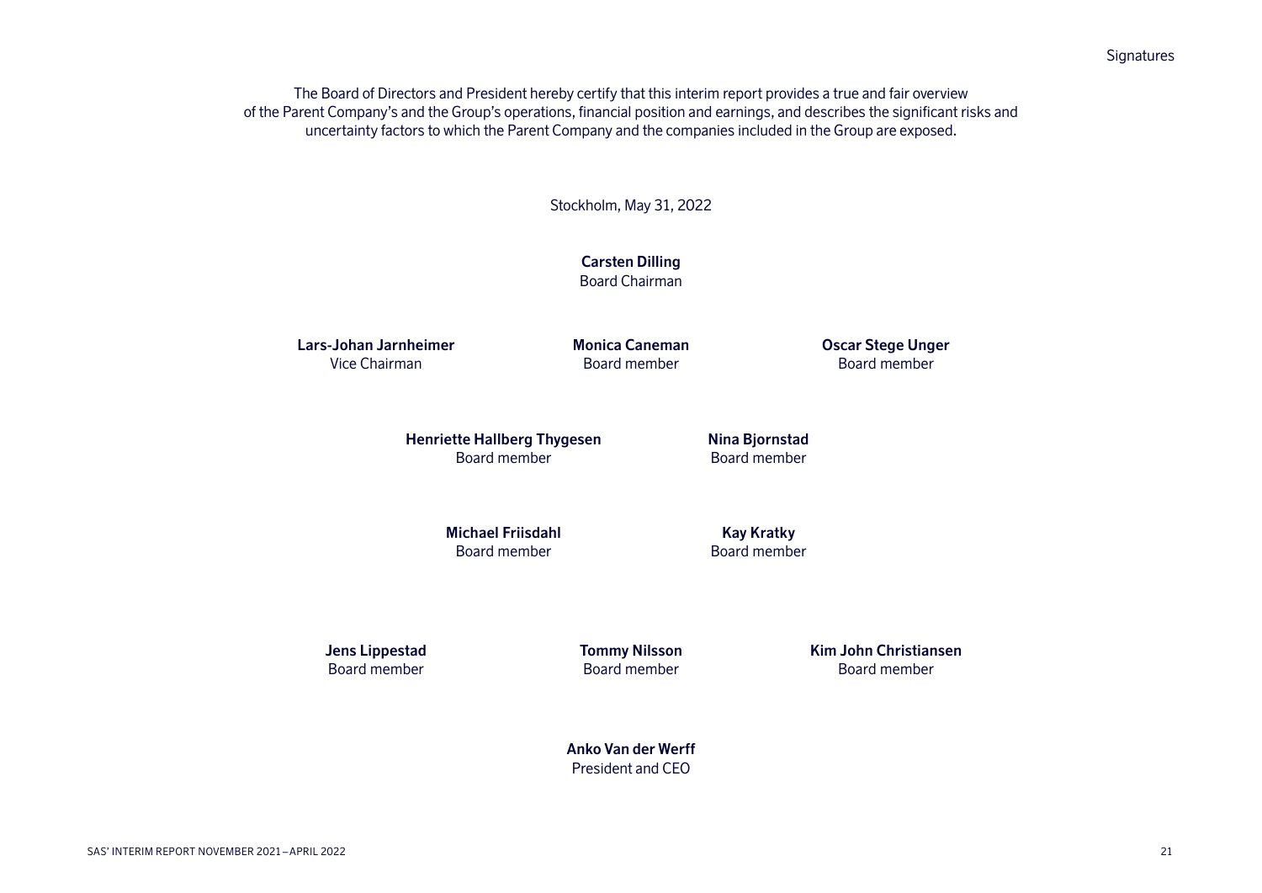**Signatures** 

The Board of Directors and President hereby certify that this interim report provides a true and fair overview of the Parent Company's and the Group's operations, financial position and earnings, and describes the significant risks and uncertainty factors to which the Parent Company and the companies included in the Group are exposed.

Stockholm, May 31, 2022

**Carsten Dilling** Board Chairman

**Lars-Johan Jarnheimer** Vice Chairman

**Monica Caneman** Board member

**Oscar Stege Unger** Board member

**Henriette Hallberg Thygesen** Board member

**Nina Bjornstad** Board member

**Michael Friisdahl** Board member

**Kay Kratky** Board member

**Jens Lippestad** Board member

**Tommy Nilsson** Board member

**Kim John Christiansen** Board member

**Anko Van der Werff** President and CEO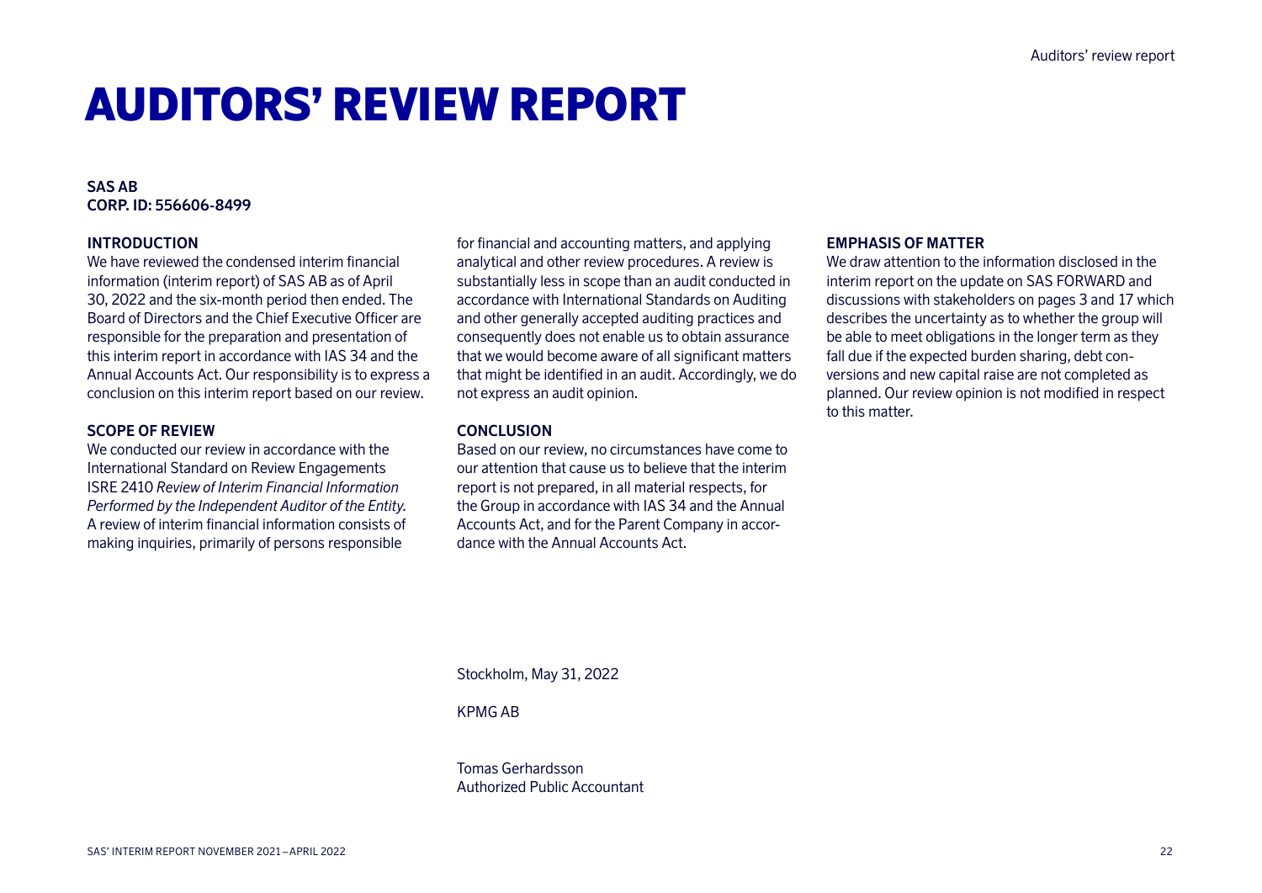# AUDITORS' REVIEW REPORT

### **SAS AB CORP. ID: 556606-8499**

### **INTRODUCTION**

We have reviewed the condensed interim financial information (interim report) of SAS AB as of April 30, 2022 and the six-month period then ended. The Board of Directors and the Chief Executive Officer are responsible for the preparation and presentation of this interim report in accordance with IAS 34 and the Annual Accounts Act. Our responsibility is to express a conclusion on this interim report based on our review.

### **SCOPE OF REVIEW**

We conducted our review in accordance with the International Standard on Review Engagements ISRE 2410 *Review of Interim Financial Information Performed by the Independent Auditor of the Entity.* A review of interim financial information consists of making inquiries, primarily of persons responsible

for financial and accounting matters, and applying analytical and other review procedures. A review is substantially less in scope than an audit conducted in accordance with International Standards on Auditing and other generally accepted auditing practices and consequently does not enable us to obtain assurance that we would become aware of all significant matters that might be identified in an audit. Accordingly, we do not express an audit opinion.

### **CONCLUSION**

Based on our review, no circumstances have come to our attention that cause us to believe that the interim report is not prepared, in all material respects, for the Group in accordance with IAS 34 and the Annual Accounts Act, and for the Parent Company in accordance with the Annual Accounts Act.

### **EMPHASIS OF MATTER**

We draw attention to the information disclosed in the interim report on the update on SAS FORWARD and discussions with stakeholders on pages 3 and 17 which describes the uncertainty as to whether the group will be able to meet obligations in the longer term as they fall due if the expected burden sharing, debt conversions and new capital raise are not completed as planned. Our review opinion is not modified in respect to this matter.

Stockholm, May 31, 2022

KPMG AB

Tomas Gerhardsson Authorized Public Accountant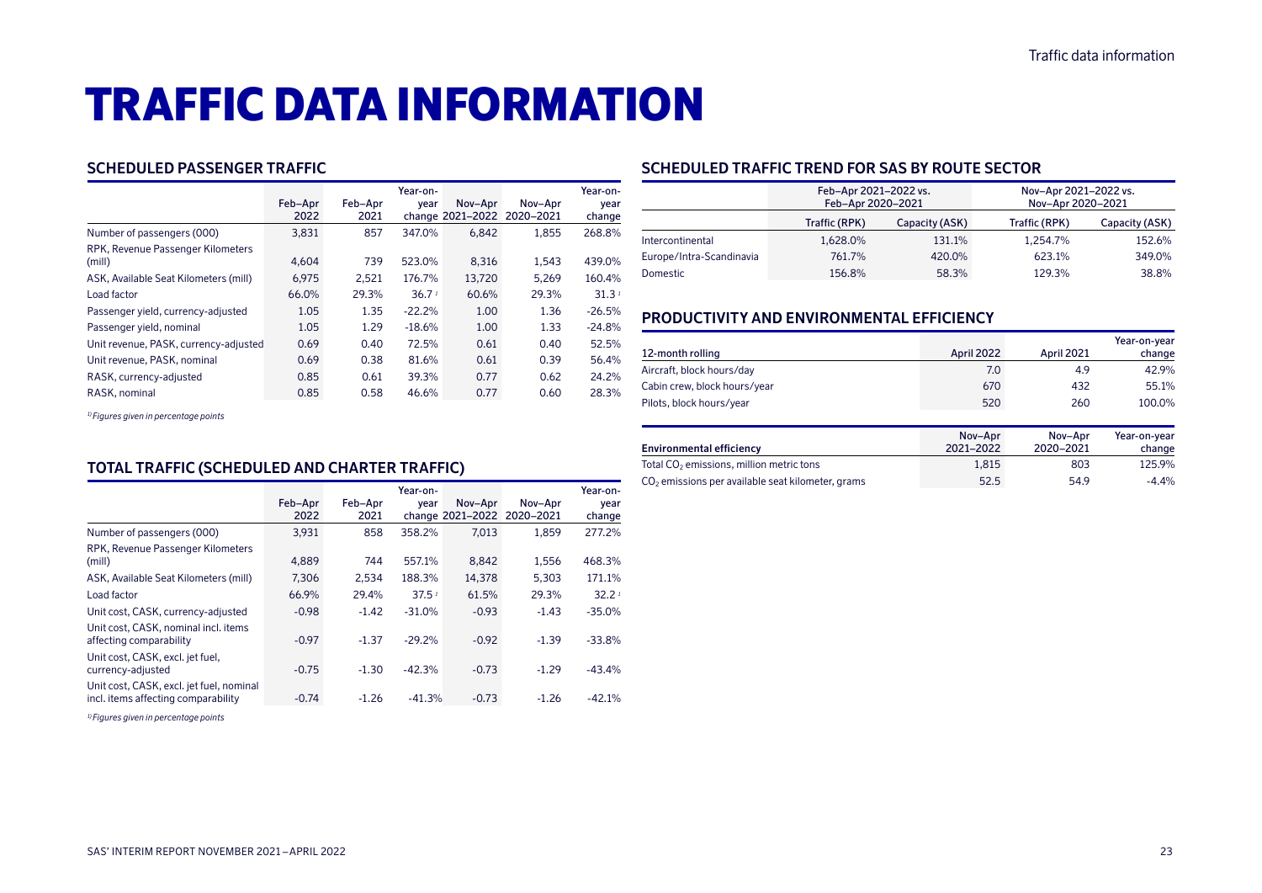# TRAFFIC DATA INFORMATION

### **SCHEDULED PASSENGER TRAFFIC**

|                                             |                 |                 | Year-on-          |         |                                       | Year-on-          |
|---------------------------------------------|-----------------|-----------------|-------------------|---------|---------------------------------------|-------------------|
|                                             | Feb-Apr<br>2022 | Feb-Apr<br>2021 | vear              | Nov-Apr | Nov-Apr<br>change 2021-2022 2020-2021 | year<br>change    |
| Number of passengers (000)                  | 3,831           | 857             | 347.0%            | 6.842   | 1.855                                 | 268.8%            |
| RPK, Revenue Passenger Kilometers<br>(mill) | 4.604           | 739             | 523.0%            | 8,316   | 1,543                                 | 439.0%            |
| ASK, Available Seat Kilometers (mill)       | 6.975           | 2.521           | 176.7%            | 13.720  | 5.269                                 | 160.4%            |
| Load factor                                 | 66.0%           | 29.3%           | 36.7 <sup>1</sup> | 60.6%   | 29.3%                                 | 31.3 <sup>1</sup> |
| Passenger yield, currency-adjusted          | 1.05            | 1.35            | $-22.2%$          | 1.00    | 1.36                                  | $-26.5%$          |
| Passenger yield, nominal                    | 1.05            | 1.29            | $-18.6%$          | 1.00    | 1.33                                  | $-24.8%$          |
| Unit revenue, PASK, currency-adjusted       | 0.69            | 0.40            | 72.5%             | 0.61    | 0.40                                  | 52.5%             |
| Unit revenue, PASK, nominal                 | 0.69            | 0.38            | 81.6%             | 0.61    | 0.39                                  | 56.4%             |
| RASK, currency-adjusted                     | 0.85            | 0.61            | 39.3%             | 0.77    | 0.62                                  | 24.2%             |
| RASK, nominal                               | 0.85            | 0.58            | 46.6%             | 0.77    | 0.60                                  | 28.3%             |

*1) Figures given in percentage points*

# **TOTAL TRAFFIC (SCHEDULED AND CHARTER TRAFFIC)**

|                                                                                 | Feb-Apr<br>2022 | Feb-Apr<br>2021 | Year-on-<br>year  | Nov-Apr | Nov-Apr<br>change 2021-2022 2020-2021 | Year-on-<br>year<br>change |
|---------------------------------------------------------------------------------|-----------------|-----------------|-------------------|---------|---------------------------------------|----------------------------|
| Number of passengers (000)                                                      | 3,931           | 858             | 358.2%            | 7.013   | 1.859                                 | 277.2%                     |
| RPK, Revenue Passenger Kilometers<br>(mill)                                     | 4.889           | 744             | 557.1%            | 8.842   | 1,556                                 | 468.3%                     |
| ASK, Available Seat Kilometers (mill)                                           | 7,306           | 2,534           | 188.3%            | 14,378  | 5,303                                 | 171.1%                     |
| Load factor                                                                     | 66.9%           | 29.4%           | 37.5 <sup>1</sup> | 61.5%   | 29.3%                                 | 32.2 <sup>1</sup>          |
| Unit cost, CASK, currency-adjusted                                              | $-0.98$         | $-1.42$         | $-31.0%$          | $-0.93$ | $-1.43$                               | $-35.0%$                   |
| Unit cost, CASK, nominal incl. items<br>affecting comparability                 | $-0.97$         | $-1.37$         | $-29.2%$          | $-0.92$ | $-1.39$                               | $-33.8%$                   |
| Unit cost, CASK, excl. jet fuel,<br>currency-adjusted                           | $-0.75$         | $-1.30$         | $-42.3%$          | $-0.73$ | $-1.29$                               | $-43.4%$                   |
| Unit cost, CASK, excl. jet fuel, nominal<br>incl. items affecting comparability | $-0.74$         | $-1.26$         | $-41.3%$          | $-0.73$ | $-1.26$                               | $-42.1%$                   |

*1) Figures given in percentage points*

### **SCHEDULED TRAFFIC TREND FOR SAS BY ROUTE SECTOR**

|                          | Feb-Apr 2021-2022 vs.<br>Feb-Apr 2020-2021 |                | Nov-Apr 2021-2022 vs.<br>Nov-Apr 2020-2021 |                |
|--------------------------|--------------------------------------------|----------------|--------------------------------------------|----------------|
|                          | Traffic (RPK)                              | Capacity (ASK) | Traffic (RPK)                              | Capacity (ASK) |
| Intercontinental         | 1.628.0%                                   | 131.1%         | 1.254.7%                                   | 152.6%         |
| Europe/Intra-Scandinavia | 761.7%                                     | 420.0%         | 623.1%                                     | 349.0%         |
| <b>Domestic</b>          | 156.8%                                     | 58.3%          | 129.3%                                     | 38.8%          |

# **PRODUCTIVITY AND ENVIRONMENTAL EFFICIENCY**

|                              |            |            | Year-on-year |
|------------------------------|------------|------------|--------------|
| 12-month rolling             | April 2022 | April 2021 | change       |
| Aircraft, block hours/day    | 7.0        | 4.9        | 42.9%        |
| Cabin crew, block hours/year | 670        | 432        | 55.1%        |
| Pilots, block hours/year     | 520        | 260        | 100.0%       |

|                                                      | Nov-Apr   | Nov-Apr   | Year-on-year |
|------------------------------------------------------|-----------|-----------|--------------|
| <b>Environmental efficiency</b>                      | 2021-2022 | 2020-2021 | change       |
| Total CO <sub>2</sub> emissions, million metric tons | 1.815     | 803       | 125.9%       |
| $CO2$ emissions per available seat kilometer, grams  | 52.5      | 54.9      | $-4.4%$      |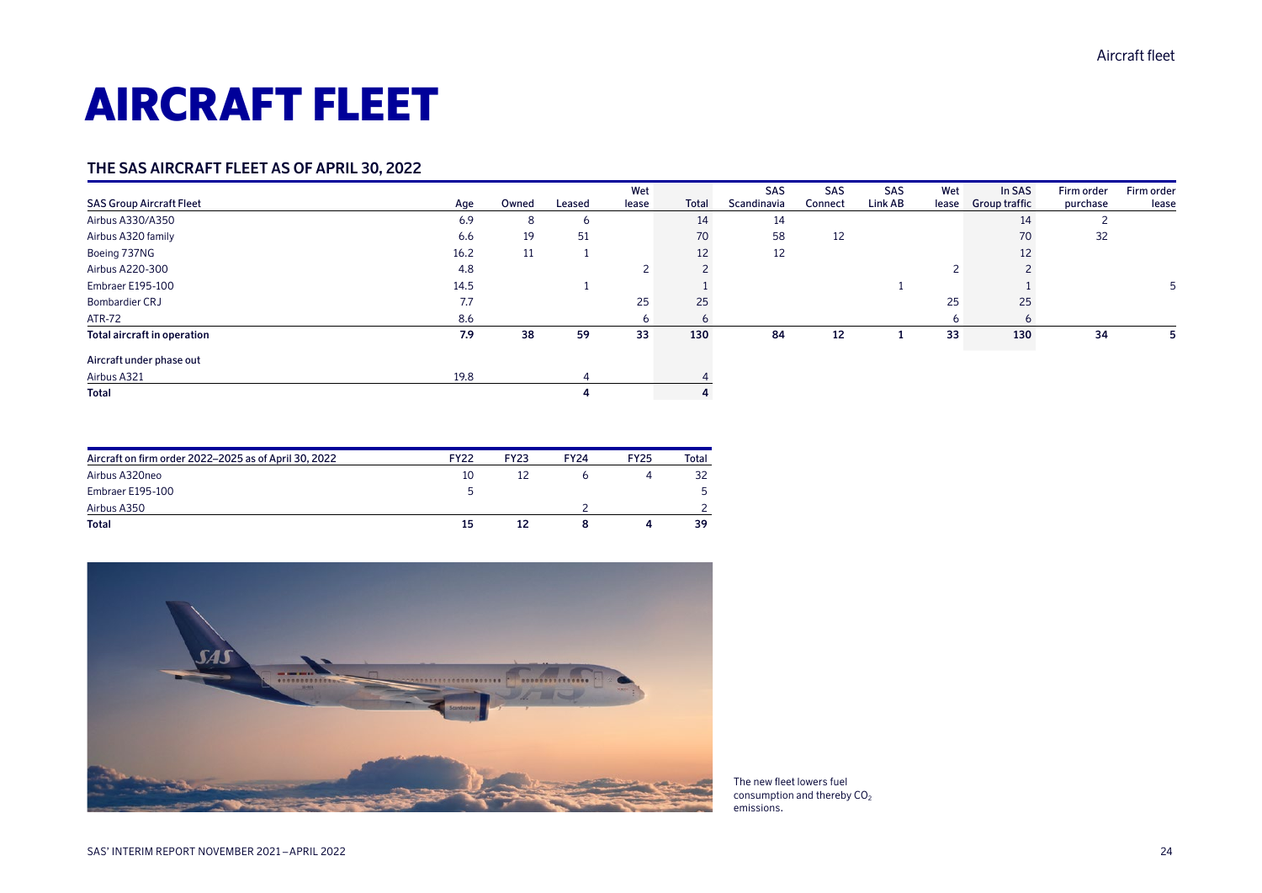# AIRCRAFT FLEET

### **THE SAS AIRCRAFT FLEET AS OF APRIL 30, 2022**

|                                 |      |       |                | Wet   |       | <b>SAS</b>  | <b>SAS</b> | <b>SAS</b> | Wet   | In SAS               | Firm order | Firm order |
|---------------------------------|------|-------|----------------|-------|-------|-------------|------------|------------|-------|----------------------|------------|------------|
| <b>SAS Group Aircraft Fleet</b> | Age  | Owned | Leased         | lease | Total | Scandinavia | Connect    | Link AB    | lease | <b>Group traffic</b> | purchase   | lease      |
| Airbus A330/A350                | 6.9  | 8     | 6              |       | 14    | 14          |            |            |       | 14                   |            |            |
| Airbus A320 family              | 6.6  | 19    | 51             |       | 70    | 58          | 12         |            |       | 70                   | 32         |            |
| Boeing 737NG                    | 16.2 | 11    |                |       | 12    | 12          |            |            |       | 12                   |            |            |
| Airbus A220-300                 | 4.8  |       |                | ∠     |       |             |            |            |       |                      |            |            |
| Embraer E195-100                | 14.5 |       |                |       |       |             |            |            |       |                      |            |            |
| Bombardier CRJ                  | 7.7  |       |                | 25    | 25    |             |            |            | 25    | 25                   |            |            |
| <b>ATR-72</b>                   | 8.6  |       |                | 6     | 6     |             |            |            |       | ь                    |            |            |
| Total aircraft in operation     | 7.9  | 38    | 59             | 33    | 130   | 84          | 12         |            | 33    | 130                  | 34         | כ          |
| Aircraft under phase out        |      |       |                |       |       |             |            |            |       |                      |            |            |
| Airbus A321                     | 19.8 |       | $\overline{a}$ |       |       |             |            |            |       |                      |            |            |
| Total                           |      |       |                |       | 4     |             |            |            |       |                      |            |            |

| Aircraft on firm order 2022–2025 as of April 30, 2022 | <b>FY22</b> | <b>FY23</b> | <b>FY24</b> | <b>FY25</b> | Total |
|-------------------------------------------------------|-------------|-------------|-------------|-------------|-------|
| Airbus A320neo                                        | 10          | 12          |             |             | 32    |
| Embraer E195-100                                      | ь           |             |             |             | 5.    |
| Airbus A350                                           |             |             |             |             |       |
| <b>Total</b>                                          | 15          | 12          |             |             | 39    |



The new fleet lowers fuel consumption and thereby  $CO<sub>2</sub>$ emissions.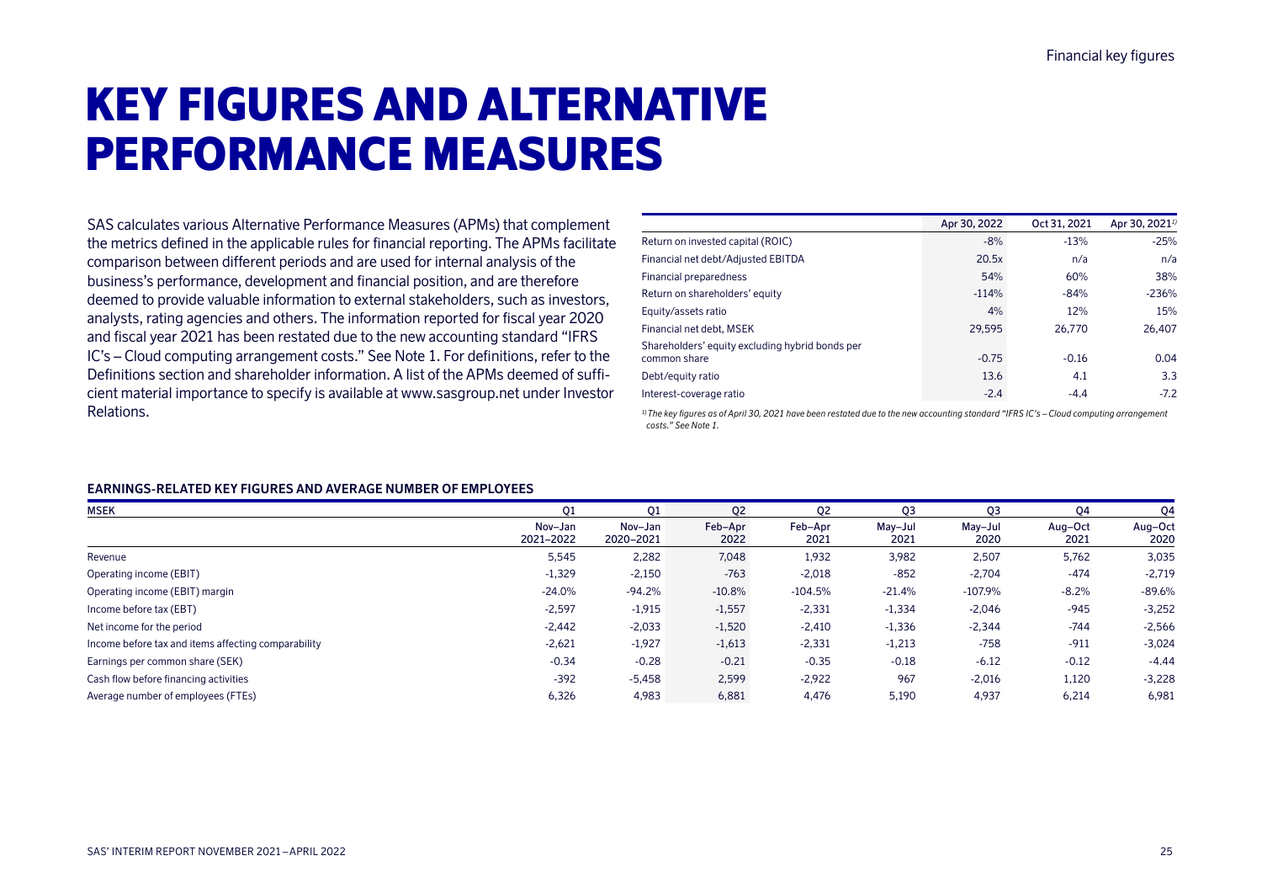# KEY FIGURES AND ALTERNATIVE PERFORMANCE MEASURES

SAS calculates various Alternative Performance Measures (APMs) that complement the metrics defined in the applicable rules for financial reporting. The APMs facilitate comparison between different periods and are used for internal analysis of the business's performance, development and financial position, and are therefore deemed to provide valuable information to external stakeholders, such as investors, analysts, rating agencies and others. The information reported for fiscal year 2020 and fiscal year 2021 has been restated due to the new accounting standard "IFRS IC's – Cloud computing arrangement costs." See Note 1. For definitions, refer to the Definitions section and shareholder information. A list of the APMs deemed of sufficient material importance to specify is available at www.sasgroup.net under Investor Relations.

|                                                                 | Apr 30, 2022 | Oct 31, 2021 | Apr 30, 2021 <sup>1)</sup> |
|-----------------------------------------------------------------|--------------|--------------|----------------------------|
| Return on invested capital (ROIC)                               | $-8%$        | $-13%$       | $-25%$                     |
| Financial net debt/Adjusted EBITDA                              | 20.5x        | n/a          | n/a                        |
| Financial preparedness                                          | 54%          | 60%          | 38%                        |
| Return on shareholders' equity                                  | $-114%$      | $-84%$       | $-236%$                    |
| Equity/assets ratio                                             | 4%           | 12%          | 15%                        |
| Financial net debt. MSEK                                        | 29.595       | 26.770       | 26.407                     |
| Shareholders' equity excluding hybrid bonds per<br>common share | $-0.75$      | $-0.16$      | 0.04                       |
| Debt/equity ratio                                               | 13.6         | 4.1          | 3.3                        |
| Interest-coverage ratio                                         | $-2.4$       | $-4.4$       | $-7.2$                     |
|                                                                 |              |              |                            |

*1)The key figures as of April 30, 2021 have been restated due to the new accounting standard "IFRS IC's – Cloud computing arrangement costs." See Note 1.*

### **EARNINGS-RELATED KEY FIGURES AND AVERAGE NUMBER OF EMPLOYEES**

| <b>MSEK</b>                                         | 01                   | 01                   | 02              | Q <sub>2</sub>  | Q3              | Q <sub>3</sub>  | Q4              | Q4              |
|-----------------------------------------------------|----------------------|----------------------|-----------------|-----------------|-----------------|-----------------|-----------------|-----------------|
|                                                     | Nov-Jan<br>2021-2022 | Nov-Jan<br>2020-2021 | Feb-Apr<br>2022 | Feb-Apr<br>2021 | May-Jul<br>2021 | May-Jul<br>2020 | Aug-Oct<br>2021 | Aug-Oct<br>2020 |
| Revenue                                             | 5,545                | 2,282                | 7,048           | 1,932           | 3,982           | 2,507           | 5,762           | 3,035           |
| Operating income (EBIT)                             | $-1,329$             | $-2,150$             | $-763$          | $-2,018$        | $-852$          | $-2,704$        | $-474$          | $-2,719$        |
| Operating income (EBIT) margin                      | $-24.0%$             | $-94.2%$             | $-10.8%$        | $-104.5%$       | $-21.4%$        | $-107.9\%$      | $-8.2%$         | $-89.6%$        |
| Income before tax (EBT)                             | $-2,597$             | $-1,915$             | $-1,557$        | $-2,331$        | $-1,334$        | $-2,046$        | $-945$          | $-3,252$        |
| Net income for the period                           | $-2,442$             | $-2,033$             | $-1,520$        | $-2,410$        | $-1,336$        | $-2,344$        | $-744$          | $-2,566$        |
| Income before tax and items affecting comparability | $-2,621$             | $-1,927$             | $-1,613$        | $-2,331$        | $-1,213$        | $-758$          | $-911$          | $-3,024$        |
| Earnings per common share (SEK)                     | $-0.34$              | $-0.28$              | $-0.21$         | $-0.35$         | $-0.18$         | $-6.12$         | $-0.12$         | $-4.44$         |
| Cash flow before financing activities               | $-392$               | $-5,458$             | 2,599           | $-2,922$        | 967             | $-2,016$        | 1,120           | $-3,228$        |
| Average number of employees (FTEs)                  | 6,326                | 4,983                | 6,881           | 4,476           | 5,190           | 4,937           | 6,214           | 6,981           |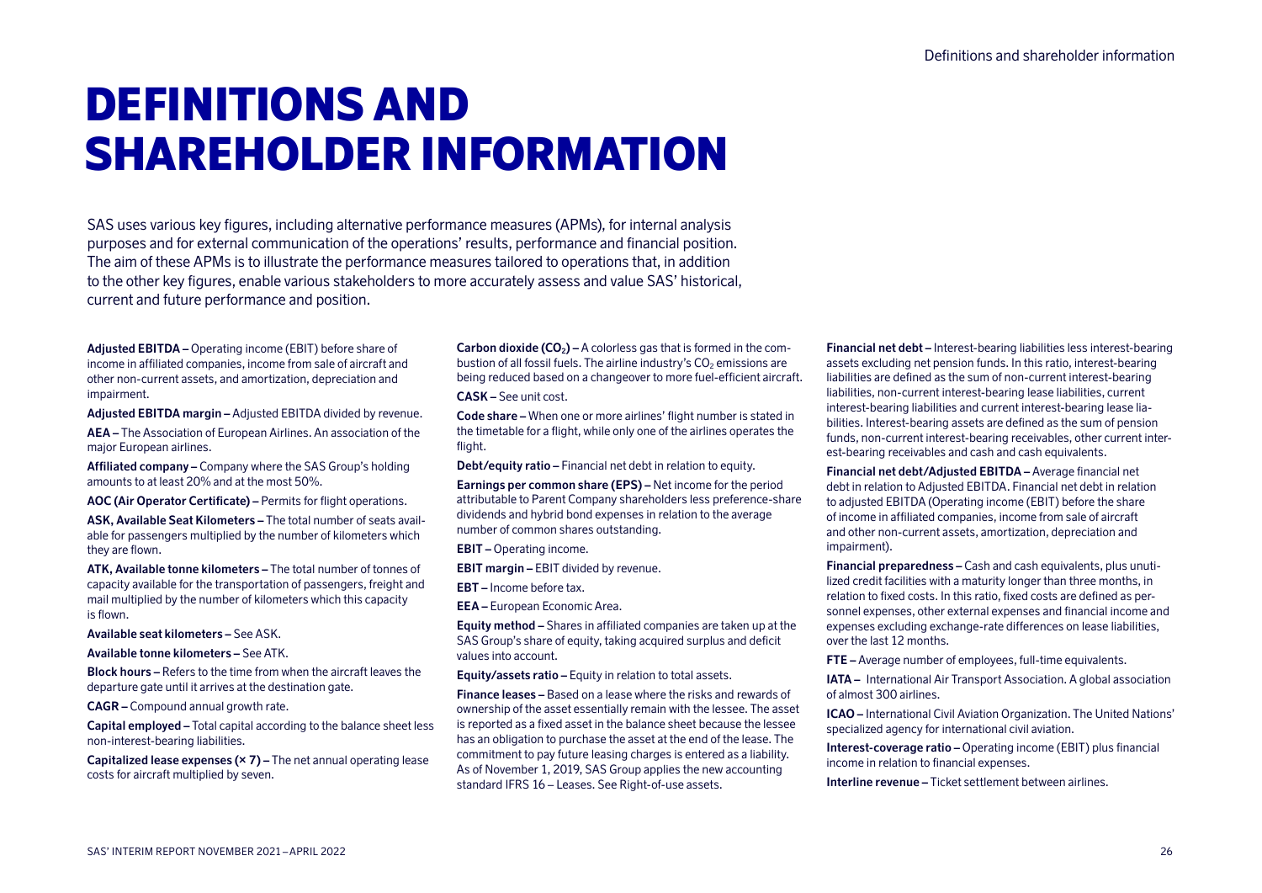# DEFINITIONS AND SHAREHOLDER INFORMATION

SAS uses various key figures, including alternative performance measures (APMs), for internal analysis purposes and for external communication of the operations' results, performance and financial position. The aim of these APMs is to illustrate the performance measures tailored to operations that, in addition to the other key figures, enable various stakeholders to more accurately assess and value SAS' historical, current and future performance and position.

**Adjusted EBITDA –** Operating income (EBIT) before share of income in affiliated companies, income from sale of aircraft and other non-current assets, and amortization, depreciation and impairment.

**Adjusted EBITDA margin –** Adjusted EBITDA divided by revenue.

**AEA –** The Association of European Airlines. An association of the major European airlines.

**Affiliated company –** Company where the SAS Group's holding amounts to at least 20% and at the most 50%.

**AOC (Air Operator Certificate) –** Permits for flight operations.

**ASK, Available Seat Kilometers –** The total number of seats available for passengers multiplied by the number of kilometers which they are flown.

**ATK, Available tonne kilometers –** The total number of tonnes of capacity available for the transportation of passengers, freight and mail multiplied by the number of kilometers which this capacity is flown.

**Available seat kilometers –** See ASK.

**Available tonne kilometers –** See ATK.

**Block hours –** Refers to the time from when the aircraft leaves the departure gate until it arrives at the destination gate.

**CAGR –** Compound annual growth rate.

**Capital employed –** Total capital according to the balance sheet less non-interest-bearing liabilities.

**Capitalized lease expenses (× 7) –** The net annual operating lease costs for aircraft multiplied by seven.

**Carbon dioxide (CO<sub>2</sub>) – A colorless gas that is formed in the com**bustion of all fossil fuels. The airline industry's  $CO<sub>2</sub>$  emissions are being reduced based on a changeover to more fuel-efficient aircraft.

**CASK –** See unit cost.

**Code share –** When one or more airlines' flight number is stated in the timetable for a flight, while only one of the airlines operates the flight.

**Debt/equity ratio –** Financial net debt in relation to equity.

**Earnings per common share (EPS) –** Net income for the period attributable to Parent Company shareholders less preference-share dividends and hybrid bond expenses in relation to the average number of common shares outstanding.

**EBIT –** Operating income.

**EBIT margin –** EBIT divided by revenue.

**EBT –** Income before tax.

**EEA –** European Economic Area.

**Equity method –** Shares in affiliated companies are taken up at the SAS Group's share of equity, taking acquired surplus and deficit values into account.

**Equity/assets ratio –** Equity in relation to total assets.

**Finance leases –** Based on a lease where the risks and rewards of ownership of the asset essentially remain with the lessee. The asset is reported as a fixed asset in the balance sheet because the lessee has an obligation to purchase the asset at the end of the lease. The commitment to pay future leasing charges is entered as a liability. As of November 1, 2019, SAS Group applies the new accounting standard IFRS 16 – Leases. See Right-of-use assets.

**Financial net debt –** Interest-bearing liabilities less interest-bearing assets excluding net pension funds. In this ratio, interest-bearing liabilities are defined as the sum of non-current interest-bearing liabilities, non-current interest-bearing lease liabilities, current interest-bearing liabilities and current interest-bearing lease liabilities. Interest-bearing assets are defined as the sum of pension funds, non-current interest-bearing receivables, other current interest-bearing receivables and cash and cash equivalents.

**Financial net debt/Adjusted EBITDA –** Average financial net debt in relation to Adjusted EBITDA. Financial net debt in relation to adjusted EBITDA (Operating income (EBIT) before the share of income in affiliated companies, income from sale of aircraft and other non-current assets, amortization, depreciation and impairment).

**Financial preparedness –** Cash and cash equivalents, plus unutilized credit facilities with a maturity longer than three months, in relation to fixed costs. In this ratio, fixed costs are defined as personnel expenses, other external expenses and financial income and expenses excluding exchange-rate differences on lease liabilities, over the last 12 months.

**FTE –** Average number of employees, full-time equivalents.

**IATA –** International Air Transport Association. A global association of almost 300 airlines.

**ICAO –** International Civil Aviation Organization. The United Nations' specialized agency for international civil aviation.

**Interest-coverage ratio –** Operating income (EBIT) plus financial income in relation to financial expenses.

**Interline revenue –** Ticket settlement between airlines.